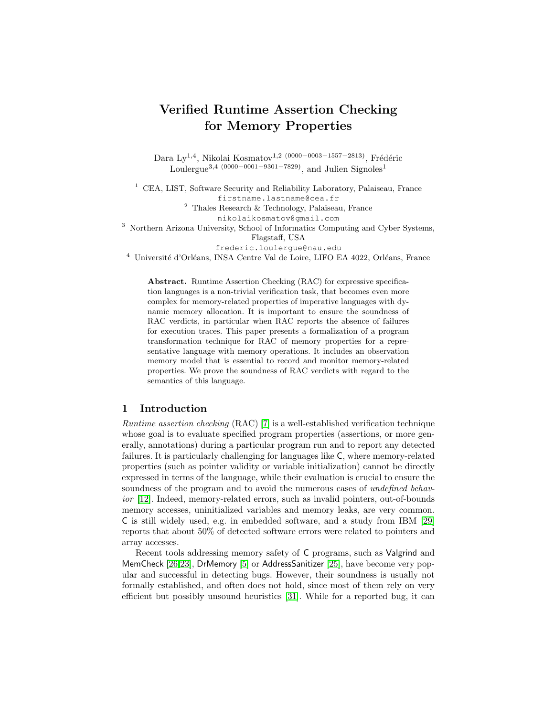# Verified Runtime Assertion Checking for Memory Properties

Dara Ly<sup>1,4</sup>, Nikolai Kosmatov<sup>1,2 (0000–0003–1557–2813)</sup>, Frédéric Loulergue<sup>3,4</sup> (0000–0001–9301–7829), and Julien Signoles<sup>1</sup>

<sup>1</sup> CEA, LIST, Software Security and Reliability Laboratory, Palaiseau, France firstname.lastname@cea.fr  $^{\rm 2}$  Thales Research & Technology, Palaiseau, France

nikolaikosmatov@gmail.com

<sup>3</sup> Northern Arizona University, School of Informatics Computing and Cyber Systems,

Flagstaff, USA

frederic.loulergue@nau.edu

<sup>4</sup> Université d'Orléans, INSA Centre Val de Loire, LIFO EA 4022, Orléans, France

Abstract. Runtime Assertion Checking (RAC) for expressive specification languages is a non-trivial verification task, that becomes even more complex for memory-related properties of imperative languages with dynamic memory allocation. It is important to ensure the soundness of RAC verdicts, in particular when RAC reports the absence of failures for execution traces. This paper presents a formalization of a program transformation technique for RAC of memory properties for a representative language with memory operations. It includes an observation memory model that is essential to record and monitor memory-related properties. We prove the soundness of RAC verdicts with regard to the semantics of this language.

# 1 Introduction

Runtime assertion checking (RAC) [\[7\]](#page-18-0) is a well-established verification technique whose goal is to evaluate specified program properties (assertions, or more generally, annotations) during a particular program run and to report any detected failures. It is particularly challenging for languages like C, where memory-related properties (such as pointer validity or variable initialization) cannot be directly expressed in terms of the language, while their evaluation is crucial to ensure the soundness of the program and to avoid the numerous cases of *undefined behav-*ior [\[12\]](#page-18-1). Indeed, memory-related errors, such as invalid pointers, out-of-bounds memory accesses, uninitialized variables and memory leaks, are very common. C is still widely used, e.g. in embedded software, and a study from IBM [\[29\]](#page-19-0) reports that about 50% of detected software errors were related to pointers and array accesses.

Recent tools addressing memory safety of C programs, such as Valgrind and MemCheck [\[26,](#page-19-1)[23\]](#page-19-2), DrMemory [\[5\]](#page-18-2) or AddressSanitizer [\[25\]](#page-19-3), have become very popular and successful in detecting bugs. However, their soundness is usually not formally established, and often does not hold, since most of them rely on very efficient but possibly unsound heuristics [\[31\]](#page-19-4). While for a reported bug, it can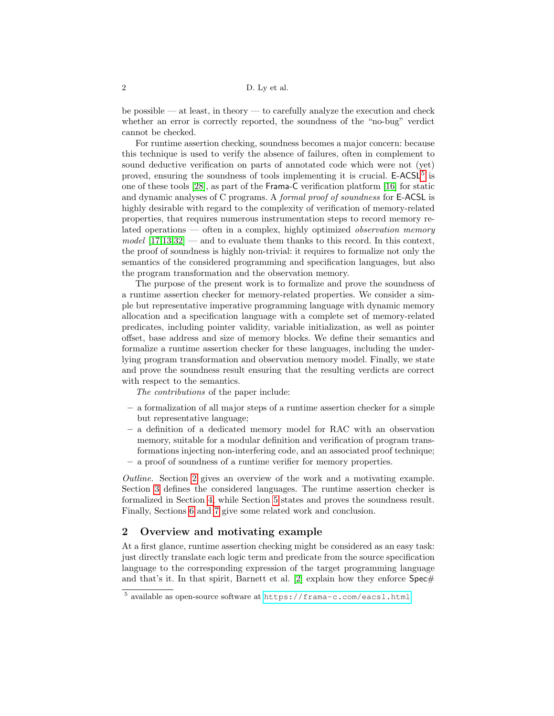be possible — at least, in theory — to carefully analyze the execution and check whether an error is correctly reported, the soundness of the "no-bug" verdict cannot be checked.

For runtime assertion checking, soundness becomes a major concern: because this technique is used to verify the absence of failures, often in complement to sound deductive verification on parts of annotated code which were not (yet) proved, ensuring the soundness of tools implementing it is crucial. E-ACSL<sup>[5](#page-1-0)</sup> is one of these tools [\[28\]](#page-19-5), as part of the Frama-C verification platform [\[16\]](#page-18-3) for static and dynamic analyses of C programs. A formal proof of soundness for E-ACSL is highly desirable with regard to the complexity of verification of memory-related properties, that requires numerous instrumentation steps to record memory related operations — often in a complex, highly optimized observation memory  $model$  [\[17](#page-19-6)[,13](#page-18-4)[,32\]](#page-20-0) — and to evaluate them thanks to this record. In this context, the proof of soundness is highly non-trivial: it requires to formalize not only the semantics of the considered programming and specification languages, but also the program transformation and the observation memory.

The purpose of the present work is to formalize and prove the soundness of a runtime assertion checker for memory-related properties. We consider a simple but representative imperative programming language with dynamic memory allocation and a specification language with a complete set of memory-related predicates, including pointer validity, variable initialization, as well as pointer offset, base address and size of memory blocks. We define their semantics and formalize a runtime assertion checker for these languages, including the underlying program transformation and observation memory model. Finally, we state and prove the soundness result ensuring that the resulting verdicts are correct with respect to the semantics.

The contributions of the paper include:

- a formalization of all major steps of a runtime assertion checker for a simple but representative language;
- a definition of a dedicated memory model for RAC with an observation memory, suitable for a modular definition and verification of program transformations injecting non-interfering code, and an associated proof technique;
- a proof of soundness of a runtime verifier for memory properties.

Outline. Section [2](#page-1-1) gives an overview of the work and a motivating example. Section [3](#page-3-0) defines the considered languages. The runtime assertion checker is formalized in Section [4,](#page-9-0) while Section [5](#page-12-0) states and proves the soundness result. Finally, Sections [6](#page-16-0) and [7](#page-17-0) give some related work and conclusion.

# <span id="page-1-1"></span>2 Overview and motivating example

At a first glance, runtime assertion checking might be considered as an easy task: just directly translate each logic term and predicate from the source specification language to the corresponding expression of the target programming language and that's it. In that spirit, Barnett et al. [\[2\]](#page-18-5) explain how they enforce  $\text{Spec}\#$ 

<span id="page-1-0"></span><sup>5</sup> available as open-source software at <https://frama-c.com/eacsl.html>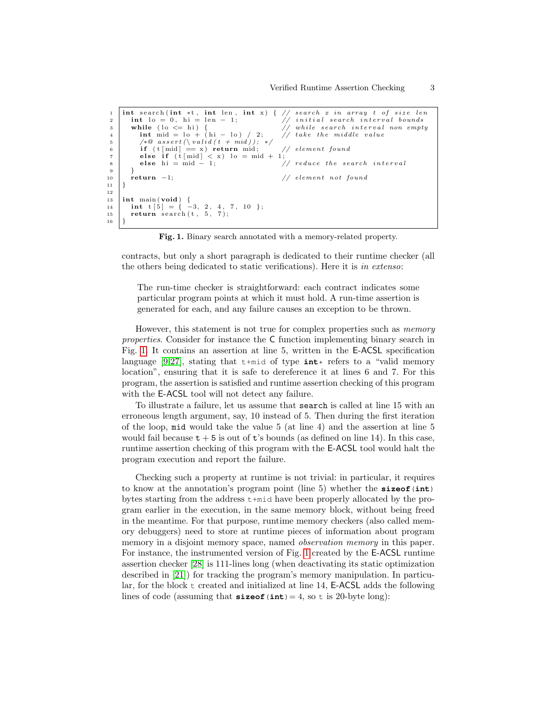```
1 int search (int *t, int len, int x) { // search x in array t of size len<br>2 int lo = 0, hi = len - 1; // initial search interval bounds
3 while ( l o <= h i ) { // w h i l e s ea r ch i n t e r v a l non empty
4 int mid = lo + (hi - lo) / 2; // take the middle value
5 \vert /* @ assert (\valid (t + mid));
 6 if (t [mid] == x) return mid; // element found<br>
7 else if (t [mid] < x) lo = mid + 1;
8 else hi = mid - 1; // reduce the search interval
 9 }
10 \quad \text{return} \quad -1; \text{/} \quad \text{/} \quad \text{/} \quad \text{/} \quad \text{element} \quad \text{not} \quad \text{found}11 \mid \}12
13 | int main (void) {
14 int t [5] = \{-3, 2, 4, 7, 10 \};<br>
return search (t, 5, 7);16 }
```
<span id="page-2-0"></span>Fig. 1. Binary search annotated with a memory-related property.

contracts, but only a short paragraph is dedicated to their runtime checker (all the others being dedicated to static verifications). Here it is in extenso:

The run-time checker is straightforward: each contract indicates some particular program points at which it must hold. A run-time assertion is generated for each, and any failure causes an exception to be thrown.

However, this statement is not true for complex properties such as memory properties. Consider for instance the C function implementing binary search in Fig. [1.](#page-2-0) It contains an assertion at line 5, written in the E-ACSL specification language [\[9](#page-18-6)[,27\]](#page-19-7), stating that  $t + mid$  of type  $int \star$  refers to a "valid memory location", ensuring that it is safe to dereference it at lines 6 and 7. For this program, the assertion is satisfied and runtime assertion checking of this program with the E-ACSL tool will not detect any failure.

To illustrate a failure, let us assume that search is called at line 15 with an erroneous length argument, say, 10 instead of 5. Then during the first iteration of the loop, mid would take the value 5 (at line 4) and the assertion at line 5 would fail because  $t + 5$  is out of t's bounds (as defined on line 14). In this case, runtime assertion checking of this program with the E-ACSL tool would halt the program execution and report the failure.

Checking such a property at runtime is not trivial: in particular, it requires to know at the annotation's program point (line 5) whether the **sizeof**(**int**) bytes starting from the address t+mid have been properly allocated by the program earlier in the execution, in the same memory block, without being freed in the meantime. For that purpose, runtime memory checkers (also called memory debuggers) need to store at runtime pieces of information about program memory in a disjoint memory space, named *observation memory* in this paper. For instance, the instrumented version of Fig. [1](#page-2-0) created by the E-ACSL runtime assertion checker [\[28\]](#page-19-5) is 111-lines long (when deactivating its static optimization described in [\[21\]](#page-19-8)) for tracking the program's memory manipulation. In particular, for the block t created and initialized at line 14, E-ACSL adds the following lines of code (assuming that  $sizeof(int) = 4$ , so t is 20-byte long):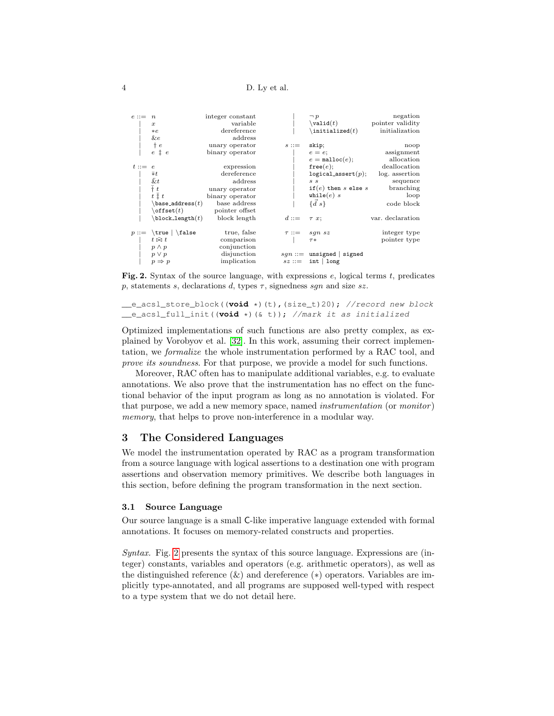

<span id="page-3-1"></span>Fig. 2. Syntax of the source language, with expressions  $e$ , logical terms  $t$ , predicates p, statements s, declarations d, types  $\tau$ , signedness sqn and size sz.

\_\_e\_acsl\_store\_block((**void** \*)(t),(size\_t)20); //record new block \_\_e\_acsl\_full\_init((**void** \*)(& t)); //mark it as initialized

Optimized implementations of such functions are also pretty complex, as explained by Vorobyov et al. [\[32\]](#page-20-0). In this work, assuming their correct implementation, we formalize the whole instrumentation performed by a RAC tool, and prove its soundness. For that purpose, we provide a model for such functions.

Moreover, RAC often has to manipulate additional variables, e.g. to evaluate annotations. We also prove that the instrumentation has no effect on the functional behavior of the input program as long as no annotation is violated. For that purpose, we add a new memory space, named instrumentation (or monitor ) memory, that helps to prove non-interference in a modular way.

## <span id="page-3-0"></span>3 The Considered Languages

We model the instrumentation operated by RAC as a program transformation from a source language with logical assertions to a destination one with program assertions and observation memory primitives. We describe both languages in this section, before defining the program transformation in the next section.

## 3.1 Source Language

Our source language is a small C-like imperative language extended with formal annotations. It focuses on memory-related constructs and properties.

Syntax. Fig. [2](#page-3-1) presents the syntax of this source language. Expressions are (integer) constants, variables and operators (e.g. arithmetic operators), as well as the distinguished reference  $(x)$  and dereference  $(*)$  operators. Variables are implicitly type-annotated, and all programs are supposed well-typed with respect to a type system that we do not detail here.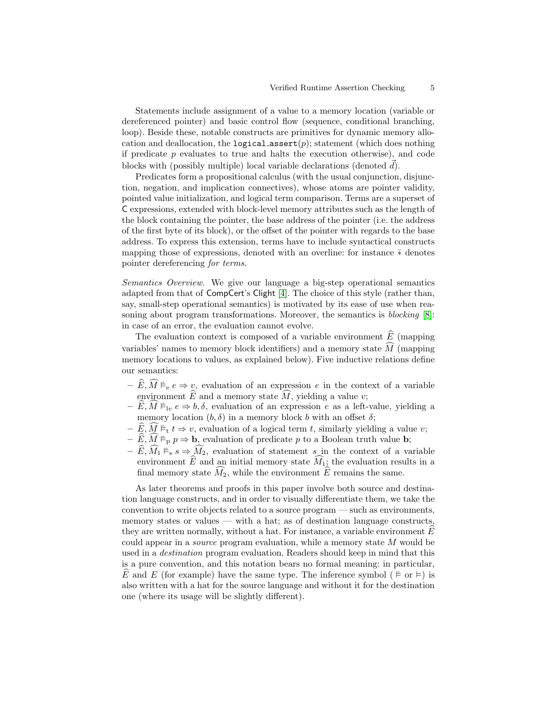Statements include assignment of a value to a memory location (variable or dereferenced pointer) and basic control flow (sequence, conditional branching, loop). Beside these, notable constructs are primitives for dynamic memory allocation and deallocation, the  $logical\_assert(p)$ ; statement (which does nothing if predicate  $p$  evaluates to true and halts the execution otherwise), and code blocks with (possibly multiple) local variable declarations (denoted  $d$ ).

Predicates form a propositional calculus (with the usual conjunction, disjunction, negation, and implication connectives), whose atoms are pointer validity, pointed value initialization, and logical term comparison. Terms are a superset of C expressions, extended with block-level memory attributes such as the length of the block containing the pointer, the base address of the pointer (i.e. the address of the first byte of its block), or the offset of the pointer with regards to the base address. To express this extension, terms have to include syntactical constructs mapping those of expressions, denoted with an overline: for instance  $\bar{*}$  denotes pointer dereferencing for terms.

Semantics Overview. We give our language a big-step operational semantics adapted from that of CompCert's Clight [\[4\]](#page-18-7). The choice of this style (rather than, say, small-step operational semantics) is motivated by its ease of use when reasoning about program transformations. Moreover, the semantics is *blocking* [\[8\]](#page-18-8): in case of an error, the evaluation cannot evolve.

The evaluation context is composed of a variable environment  $\hat{E}$  (mapping variables' names to memory block identifiers) and a memory state  $\widehat{M}$  (mapping memory locations to values, as explained below). Five inductive relations define our semantics:

- $-\hat{E}, \hat{M} \vDash_{e} e \Rightarrow v$ , evaluation of an expression e in the context of a variable environment  $\widehat{E}$  and a memory state  $\widehat{M}$ , yielding a value v;
- $-\hat{E}, \hat{M} \vDash_{\mathrm{lv}} e \Rightarrow b, \delta$ , evaluation of an expression e as a left-value, yielding a memory location  $(b, \delta)$  in a memory block b with an offset  $\delta$ ;
- $-\widehat{E}, \widehat{M} \models_t t \Rightarrow v$ , evaluation of a logical term t, similarly yielding a value v;
- $-\hat{E}, \hat{M} \vDash_{p} p \Rightarrow \mathbf{b},$  evaluation of predicate p to a Boolean truth value b;
- $-\widehat{E}, \widehat{M}_1 \vDash_{\mathbf{s}} s \Rightarrow \widehat{M}_2$ , evaluation of statement s in the context of a variable environment  $\widehat{E}$  and an initial memory state  $\widehat{M}_1$ ; the evaluation results in a final memory state  $\widehat{M}_2$ , while the environment  $\widehat{E}$  remains the same.

As later theorems and proofs in this paper involve both source and destination language constructs, and in order to visually differentiate them, we take the convention to write objects related to a source program — such as environments, memory states or values — with a hat; as of destination language constructs, they are written normally, without a hat. For instance, a variable environment  $\overline{E}$ could appear in a source program evaluation, while a memory state M would be used in a destination program evaluation. Readers should keep in mind that this is a pure convention, and this notation bears no formal meaning: in particular, E and E (for example) have the same type. The inference symbol ( $\in \mathfrak{p}$  or  $\models$ ) is also written with a hat for the source language and without it for the destination one (where its usage will be slightly different).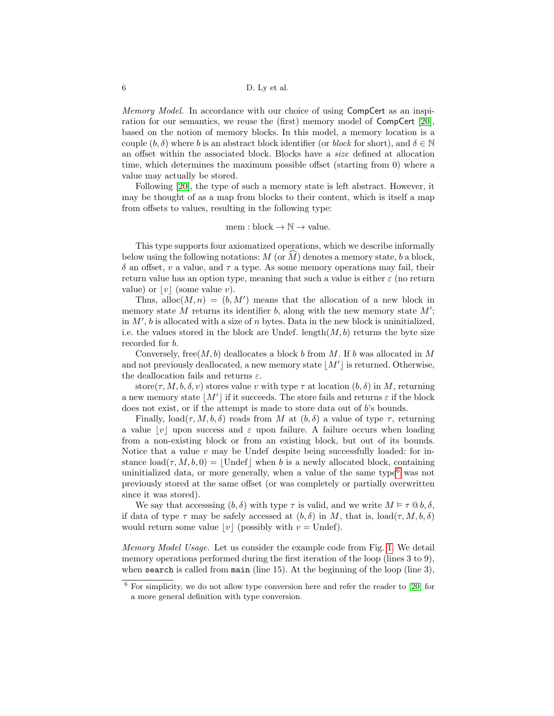#### $6$  D. Ly et al.

Memory Model. In accordance with our choice of using CompCert as an inspiration for our semantics, we reuse the (first) memory model of CompCert [\[20\]](#page-19-9), based on the notion of memory blocks. In this model, a memory location is a couple  $(b, \delta)$  where b is an abstract block identifier (or block for short), and  $\delta \in \mathbb{N}$ an offset within the associated block. Blocks have a size defined at allocation time, which determines the maximum possible offset (starting from 0) where a value may actually be stored.

Following [\[20\]](#page-19-9), the type of such a memory state is left abstract. However, it may be thought of as a map from blocks to their content, which is itself a map from offsets to values, resulting in the following type:

#### mem : block  $\rightarrow \mathbb{N} \rightarrow$  value.

This type supports four axiomatized operations, which we describe informally below using the following notations:  $M$  (or  $M$ ) denotes a memory state, b a block,  $\delta$  an offset, v a value, and  $\tau$  a type. As some memory operations may fail, their return value has an option type, meaning that such a value is either  $\varepsilon$  (no return value) or  $|v|$  (some value v).

Thus, alloc $(M, n) = (b, M')$  means that the allocation of a new block in memory state  $M$  returns its identifier  $b$ , along with the new memory state  $M'$ ; in  $M'$ , b is allocated with a size of n bytes. Data in the new block is uninitialized, i.e. the values stored in the block are Undef. length $(M, b)$  returns the byte size recorded for b.

Conversely, free $(M, b)$  deallocates a block b from M. If b was allocated in M and not previously deallocated, a new memory state  $|M'|$  is returned. Otherwise, the deallocation fails and returns  $\varepsilon$ .

store( $\tau$ , M, b,  $\delta$ , v) stores value v with type  $\tau$  at location  $(b, \delta)$  in M, returning a new memory state  $|M'|$  if it succeeds. The store fails and returns  $\varepsilon$  if the block does not exist, or if the attempt is made to store data out of b's bounds.

Finally,  $\text{load}(\tau, M, b, \delta)$  reads from M at  $(b, \delta)$  a value of type  $\tau$ , returning a value  $|v|$  upon success and  $\varepsilon$  upon failure. A failure occurs when loading from a non-existing block or from an existing block, but out of its bounds. Notice that a value  $v$  may be Undef despite being successfully loaded: for instance  $\text{load}(\tau, M, b, 0) = |\text{Under}|$  when b is a newly allocated block, containing uninitialized data, or more generally, when a value of the same type<sup>[6](#page-5-0)</sup> was not previously stored at the same offset (or was completely or partially overwritten since it was stored).

We say that accessing  $(b, \delta)$  with type  $\tau$  is valid, and we write  $M \models \tau \mathbb{Q} b, \delta$ , if data of type  $\tau$  may be safely accessed at  $(b, \delta)$  in M, that is, load $(\tau, M, b, \delta)$ would return some value  $|v|$  (possibly with  $v =$  Undef).

Memory Model Usage. Let us consider the example code from Fig. [1.](#page-2-0) We detail memory operations performed during the first iteration of the loop (lines 3 to 9), when search is called from  $\text{main}$  (line 15). At the beginning of the loop (line 3),

<span id="page-5-0"></span> $6$  For simplicity, we do not allow type conversion here and refer the reader to [\[20\]](#page-19-9) for a more general definition with type conversion.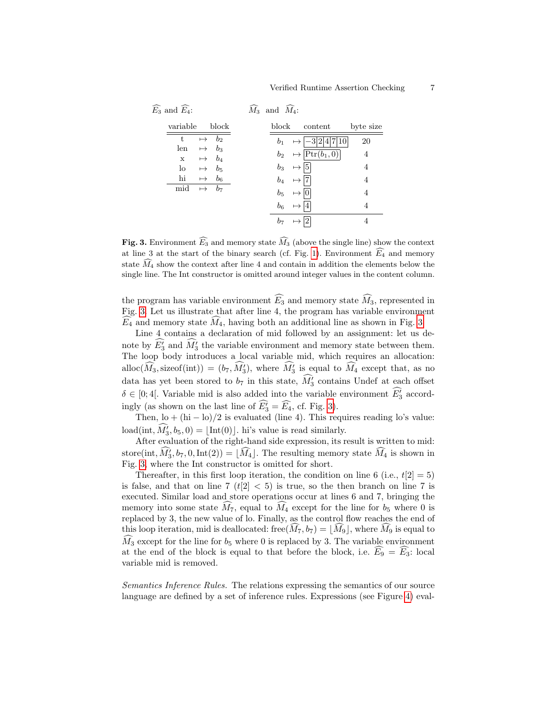| - | $E_3$ and $E_4$ :  |                        |                | $M_3$ and $M_4$ : |         |                                               |           |
|---|--------------------|------------------------|----------------|-------------------|---------|-----------------------------------------------|-----------|
|   | variable           |                        | block          |                   | block   | content                                       | byte size |
|   | t                  | $\mapsto$              | b <sub>2</sub> |                   | $b_{1}$ | $-3 2 4 7 10$                                 | 20        |
|   | len<br>$\mathbf x$ | $\mapsto$<br>$\mapsto$ | $b_3$<br>$b_4$ |                   | $b_2$   | $\mapsto$ $\left[ \text{Ptr}(b_1, 0) \right]$ | 4         |
|   | lo                 | $\mapsto$              | $b_5$          |                   | $b_3$   | $\mapsto$ 5                                   | 4         |
|   | hi                 | $\mapsto$              | $b_6$          |                   | $b_{4}$ | $\mapsto$  7                                  | 4         |
|   | mid                | $\mapsto$              | b <sub>7</sub> |                   | $b_5$   | $\mapsto$  0                                  | 4         |
|   |                    |                        |                |                   | $b_6$   | $\overline{4}$<br>$\mapsto$                   | 4         |
|   |                    |                        |                |                   | $b_7$   | 2                                             | 4         |

<span id="page-6-0"></span>**Fig. 3.** Environment  $\widehat{E_3}$  and memory state  $\widehat{M_3}$  (above the single line) show the context at line 3 at the start of the binary search (cf. Fig. [1\)](#page-2-0). Environment  $\widehat{E_4}$  and memory state  $\widehat{M}_4$  show the context after line 4 and contain in addition the elements below the single line. The Int constructor is omitted around integer values in the content column.

the program has variable environment  $\widehat{E_3}$  and memory state  $\widehat{M_3}$ , represented in Fig. [3.](#page-6-0) Let us illustrate that after line 4, the program has variable environment  $E_4$  and memory state  $M_4$ , having both an additional line as shown in Fig. [3.](#page-6-0)

Line 4 contains a declaration of mid followed by an assignment: let us denote by  $E_3'$  and  $M_3'$  the variable environment and memory state between them. The loop body introduces a local variable mid, which requires an allocation: alloc( $\widehat{M}_3$ , sizeof(int)) =  $(b_7, M_3)$ , where  $M_3$  is equal to  $\widehat{M}_4$  except that, as no data has yet been stored to  $b_7$  in this state,  $M_3'$  contains Undef at each offset  $\delta \in [0; 4]$ . Variable mid is also added into the variable environment  $E'_3$  accordingly (as shown on the last line of  $E_3 = \overline{E_4}$ , cf. Fig. [3\)](#page-6-0).

Then,  $\log \frac{h}{h}$  (hi – lo)/2 is evaluated (line 4). This requires reading lo's value: load(int,  $\hat{M}_3^j$ ,  $b_5$ , 0) = [Int(0)]. hi's value is read similarly.

After evaluation of the right-hand side expression, its result is written to mid: store(int,  $\hat{M}_3$ ,  $b_7$ , 0, Int(2)) =  $\hat{M}_4$ . The resulting memory state  $\hat{M}_4$  is shown in Fig. [3,](#page-6-0) where the Int constructor is omitted for short.

Thereafter, in this first loop iteration, the condition on line 6 (i.e.,  $t[2] = 5$ ) is false, and that on line  $7(t/2) < 5$  is true, so the then branch on line 7 is executed. Similar load and store operations occur at lines 6 and 7, bringing the memory into some state  $M_7$ , equal to  $M_4$  except for the line for  $b_5$  where 0 is replaced by 3, the new value of lo. Finally, as the control flow reaches the end of this loop iteration, mid is deallocated: free( $M_7$ ,  $b_7$ ) =  $[M_9]$ , where  $M_9$  is equal to  $\widehat{M}_3$  except for the line for  $b_5$  where 0 is replaced by 3. The variable environment at the end of the block is equal to that before the block, i.e.  $E_9 = E_3$ : local variable mid is removed.

Semantics Inference Rules. The relations expressing the semantics of our source language are defined by a set of inference rules. Expressions (see Figure [4\)](#page-7-0) eval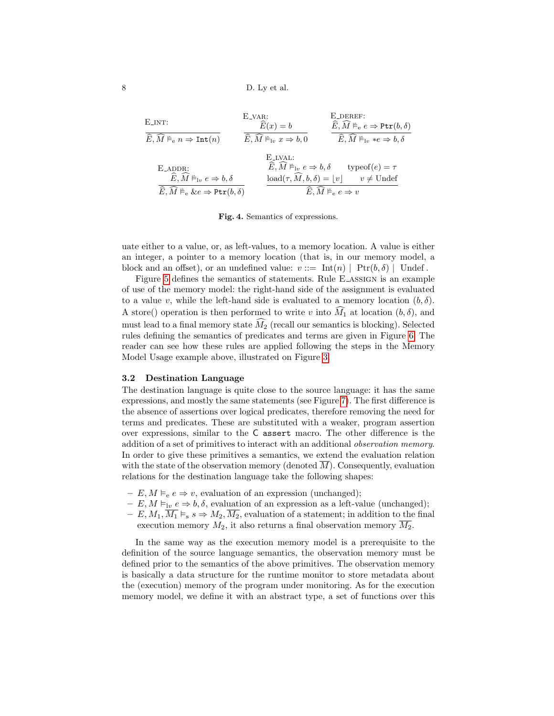8 D. Ly et al.

$$
\begin{array}{ccc}\n\text{E\_INT:} & \text{E\_VAR:} & \text{E\_DEREF:} \\
\hline\n\widehat{E}, \widehat{M} \vDash_{e} n \Rightarrow \text{Int}(n) & \widehat{E}, \widehat{M} \vDash_{l} v x \Rightarrow b, 0 & \widehat{E}, \widehat{M} \vDash_{l} v e \Rightarrow \text{Ptr}(b, \delta) \\
& \text{E\_LVAL:} & \widehat{E}, \widehat{M} \vDash_{l} v e \Rightarrow b, \delta & \text{typeof}(e) = \tau \\
& \widehat{E}, \widehat{M} \vDash_{l} v e \Rightarrow b, \delta & \text{loop}(e) = \tau \\
& \widehat{E}, \widehat{M} \vDash_{l} v e \Rightarrow b, \delta & \text{loop}(e) = \tau \\
& \widehat{E}, \widehat{M} \vDash_{e} \& e \Rightarrow \text{Ptr}(b, \delta) & \widehat{E}, \widehat{M} \vDash_{e} e \Rightarrow v\n\end{array}
$$

<span id="page-7-0"></span>Fig. 4. Semantics of expressions.

uate either to a value, or, as left-values, to a memory location. A value is either an integer, a pointer to a memory location (that is, in our memory model, a block and an offset), or an undefined value:  $v ::= \text{Int}(n) | \text{Ptr}(b, \delta) | \text{Under.}$ 

Figure [5](#page-8-0) defines the semantics of statements. Rule E\_ASSIGN is an example of use of the memory model: the right-hand side of the assignment is evaluated to a value v, while the left-hand side is evaluated to a memory location  $(b, \delta)$ . A store() operation is then performed to write v into  $\widehat{M}_1$  at location  $(b, \delta)$ , and must lead to a final memory state  $\widehat{M}_2$  (recall our semantics is blocking). Selected rules defining the semantics of predicates and terms are given in Figure [6.](#page-9-1) The reader can see how these rules are applied following the steps in the Memory Model Usage example above, illustrated on Figure [3.](#page-6-0)

## <span id="page-7-1"></span>3.2 Destination Language

The destination language is quite close to the source language: it has the same expressions, and mostly the same statements (see Figure [7\)](#page-9-2). The first difference is the absence of assertions over logical predicates, therefore removing the need for terms and predicates. These are substituted with a weaker, program assertion over expressions, similar to the C assert macro. The other difference is the addition of a set of primitives to interact with an additional observation memory. In order to give these primitives a semantics, we extend the evaluation relation with the state of the observation memory (denoted  $\overline{M}$ ). Consequently, evaluation relations for the destination language take the following shapes:

- $-E, M \vDash_{e} e \Rightarrow v$ , evaluation of an expression (unchanged);
- E, M  $\vDash$ <sub>1*v*</sub> e  $\Rightarrow$  b, δ, evaluation of an expression as a left-value (unchanged);
- $E, M_1, \overline{M_1} \vDash_{\mathbf{s}} s \Rightarrow M_2, \overline{M_2}$ , evaluation of a statement; in addition to the final execution memory  $M_2$ , it also returns a final observation memory  $\overline{M_2}$ .

In the same way as the execution memory model is a prerequisite to the definition of the source language semantics, the observation memory must be defined prior to the semantics of the above primitives. The observation memory is basically a data structure for the runtime monitor to store metadata about the (execution) memory of the program under monitoring. As for the execution memory model, we define it with an abstract type, a set of functions over this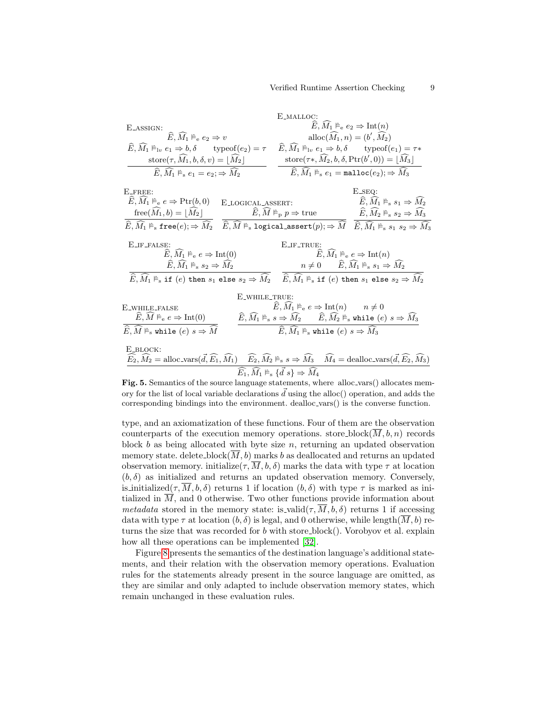|                                                                                                   | E_MALLOC:                                                                                                                               |
|---------------------------------------------------------------------------------------------------|-----------------------------------------------------------------------------------------------------------------------------------------|
| E_ASSIGN:                                                                                         | $\widehat{E}, \widehat{M}_1 \models_e e_2 \Rightarrow \text{Int}(n)$                                                                    |
| $\widehat{E}, \widehat{M}_1 \vDash_{\mathrm{e}} e_2 \Rightarrow v$                                | alloc $(\widehat{M}_1, n) = (b', \widehat{M}_2)$                                                                                        |
| $\widehat{E}, \widehat{M}_1 \vDash_{\mathrm{lv}} e_1 \Rightarrow b, \delta$ typeof $(e_2) = \tau$ | $\widehat{E}, \widehat{M}_1 \vDash_{\text{lv}} e_1 \Rightarrow b, \delta \quad \text{typeof}(e_1) = \tau *$                             |
| store $(\tau, \widehat{M}_1, b, \delta, v) =  \widehat{M}_2 $                                     | store $(\tau*, \widehat{M}_2, b, \delta, \text{Ptr}(b', 0)) =  \widehat{M}_3 $                                                          |
| $\widehat{E}, \widehat{M}_1 \vDash_{\text{s}} e_1 = e_2; \Rightarrow \widehat{M}_2$               | $\widehat{E},\widehat{M_1}\stackrel{\rightharpoonup}{\vphantom{I}}_{\mathbf{s}} e_1 = \mathtt{mallloc}(e_2); \Rightarrow \widehat{M_3}$ |

E free:  $\widehat{E}, \widehat{M}_1 \models_e e \Rightarrow \text{Ptr}(b, 0)$  $free(M_1, b) = \lfloor M_2 \rfloor$  $\widehat{E},\widehat{M_1}\vDash_{\mathrm{s}}\mathtt{free}(e); \Rightarrow \widehat{M_2}$ E<sub>LOGICAL</sub>ASSERT:  $\widehat{E}, \widehat{M} \vDash_{\mathrm{p}} p \Rightarrow \text{true}$  $\widehat{E},\widehat{M}\vDash_{\text{\rm s}} \text{\rm logical\_assert}(p); \Rightarrow \widehat{M}$ E\_SEQ:  $\widehat{E}, \widehat{M_1} \models_{\mathrm{s}} s_1 \Rightarrow \widehat{M_2}$  $\widehat{E}, \widehat{M}_2 \vDash_{\mathrm{s}} s_2 \Rightarrow \widehat{M}_3$  $\widehat{E}, \widehat{M}_1 \vDash_{\mathrm{s}} s_1 s_2 \Rightarrow \widehat{M}_3$ E\_IF\_FALSE:  $\widehat{E}, \widehat{M}_1 \models_e e \Rightarrow \text{Int}(0)$  $\widehat{E}, \widehat{M_1} \models_{\mathrm{s}} s_2 \Rightarrow \widehat{M_2}$  $\widehat{E}, \widehat{M}_1 \vDash_{\mathrm{s}} \texttt{if} (e) \texttt{ then } s_1 \texttt{ else } s_2 \Rightarrow \widehat{M}_2$ E\_IF\_TRUE:  $\widehat{E}, \widehat{M_1} \overset{\scriptscriptstyle \varphi}{\underset{\scriptscriptstyle \curvearrowleft}{\right}} e \Rightarrow \text{Int}(n)$  $n \neq 0$   $\widehat{E}, \widehat{M}_1 \vDash_{\text{s}} s_1 \Rightarrow \widehat{M}_2$  $\overline{\widehat{E},\widehat{M}_1}\stackrel{\leftharpoonup}{\leftrightharpoons}$  if  $(e)$  then  $s_1$  else  $s_2 \Rightarrow \widehat{M}_2$ E\_WHILE\_FALSE  $E$ \_WHILE\_TRUE:  $\mathcal{L}$  and  $\mathcal{L}$  intervals of  $\mathcal{L}$ 

$$
\widehat{E}, \widehat{M} \vDash_{e} e \Rightarrow Int(0) \qquad \widehat{E}, \widehat{M_{1}} \vDash_{s} e \Rightarrow \widehat{M_{2}} \qquad \widehat{E}, \widehat{M_{2}} \vDash_{s} \text{while } (e) s \Rightarrow \widehat{M_{3}} \n\widehat{E}, \widehat{M} \vDash_{s} \text{while } (e) s \Rightarrow \widehat{M} \qquad \widehat{E}, \widehat{M_{1}} \vDash_{s} \text{while } (e) s \Rightarrow \widehat{M_{3}}
$$

E\_BLOCK:

$$
\widehat{E_2}, \widehat{M_2} = \text{alloc\_vars}(\vec{d}, \widehat{E_1}, \widehat{M_1}) \quad \widehat{E_2}, \widehat{M_2} \xrightarrow{\varphi} s \Rightarrow \widehat{M_3} \quad \widehat{M_4} = \text{dealloc\_vars}(\vec{d}, \widehat{E_2}, \widehat{M_3})
$$
  

$$
\widehat{E_1}, \widehat{M_1} \xrightarrow{\varphi} \{\vec{d} \ s\} \Rightarrow \widehat{M_4}
$$
  
**Fig. 5.** Semantics of the source language statements, where alloc-vars() allocates mem-

<span id="page-8-0"></span>ory for the list of local variable declarations  $d'$  using the alloc() operation, and adds the corresponding bindings into the environment. dealloc vars() is the converse function.

type, and an axiomatization of these functions. Four of them are the observation counterparts of the execution memory operations. store block $(\overline{M}, b, n)$  records block b as being allocated with byte size  $n$ , returning an updated observation memory state. delete block $(M, b)$  marks b as deallocated and returns an updated observation memory. initialize( $\tau$ ,  $\overline{M}$ ,  $b$ ,  $\delta$ ) marks the data with type  $\tau$  at location  $(b, \delta)$  as initialized and returns an updated observation memory. Conversely, is initialized $(\tau, \overline{M}, b, \delta)$  returns 1 if location  $(b, \delta)$  with type  $\tau$  is marked as initialized in M, and 0 otherwise. Two other functions provide information about *metadata* stored in the memory state: is valid $(\tau, \overline{M}, b, \delta)$  returns 1 if accessing data with type  $\tau$  at location  $(b, \delta)$  is legal, and 0 otherwise, while length $(M, b)$  returns the size that was recorded for b with store block(). Vorobyov et al. explain how all these operations can be implemented [\[32\]](#page-20-0).

Figure [8](#page-10-0) presents the semantics of the destination language's additional statements, and their relation with the observation memory operations. Evaluation rules for the statements already present in the source language are omitted, as they are similar and only adapted to include observation memory states, which remain unchanged in these evaluation rules.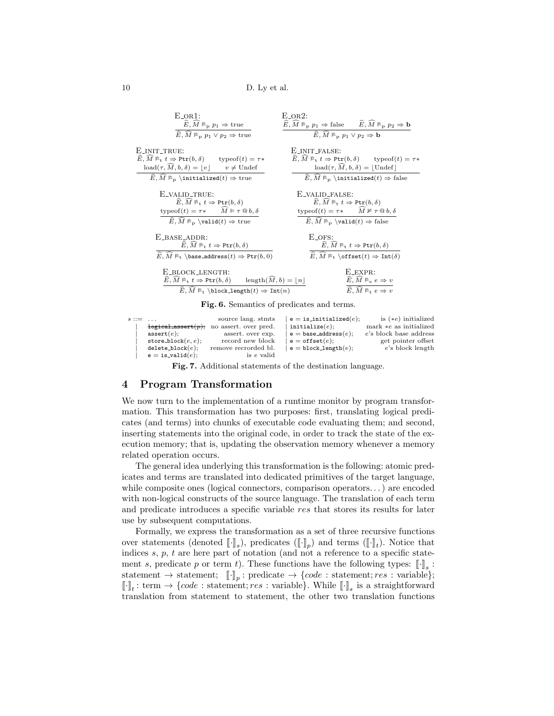| $E_{OR1}$ :                                                                                               | $E_{OR2}$ :                                                                                                                                              |
|-----------------------------------------------------------------------------------------------------------|----------------------------------------------------------------------------------------------------------------------------------------------------------|
| $\widehat{E}, \widehat{M} \models_{\text{p}} p_1 \Rightarrow \text{true}$                                 | $\widehat{E}, \widehat{M} \models_{\text{p}} p_1 \Rightarrow \text{false} \qquad \widehat{E}, \widehat{M} \models_{\text{p}} p_2 \Rightarrow \mathbf{b}$ |
| $\overline{\widehat{E}}$ , $\widehat{M}$ $\vDash_{\text{p}} p_1 \vee p_2 \Rightarrow$ true                | $\widehat{E}, \widehat{M} \models_{\text{D}} p_1 \vee p_2 \Rightarrow \mathbf{b}$                                                                        |
| E_INIT_TRUE:                                                                                              | E_INIT_FALSE:                                                                                                                                            |
| $\widehat{E}, \widehat{M} \models_t t \Rightarrow \text{Ptr}(b, \delta) \qquad \text{typeof}(t) = \tau^*$ | $\widehat{E}, \widehat{M} \models_t t \Rightarrow \text{Ptr}(b, \delta) \qquad \text{typeof}(t) = \tau *$                                                |
| $\text{load}(\tau, M, b, \delta) =  v $ $v \neq \text{Under}$                                             | $load(\tau, M, b, \delta) =  Under $                                                                                                                     |
| $\widehat{E}, \widehat{M} \models_{\mathbf{p}} \text{initialized}(t) \Rightarrow \text{true}$             | $\widehat{E}, \widehat{M} \models_{\mathbf{p}} \text{initialized}(t) \Rightarrow \text{false}$                                                           |
| E_VALID_TRUE:                                                                                             | E_VALID_FALSE:                                                                                                                                           |
| $\widehat{E}, \widehat{M} \models_t t \Rightarrow \text{Ptr}(b, \delta)$                                  | $\widehat{E}, \widehat{M} \models_t t \Rightarrow \text{Ptr}(b, \delta)$                                                                                 |
| type of $(t) = \tau * \qquad \tilde{M} \models \tau \otimes b, \delta$                                    | typeof(t) = $\tau$ $\overline{M}$ $\nvdash \tau \otimes b, \delta$                                                                                       |
| $\widehat{E}, \widehat{M} \models_{\mathbf{p}} \text{valid}(t) \Rightarrow \text{true}$                   | $\widehat{E}, \widehat{M} \models_{\mathbf{n}} \text{value}(t) \Rightarrow \text{false}$                                                                 |
| E_BASE_ADDR:                                                                                              | $E_{-OFS}$ :                                                                                                                                             |
| $\widehat{E}, \widehat{M} \models_t t \Rightarrow \text{Ptr}(b, \delta)$                                  | $\widehat{E}, \widehat{M} \models_t t \Rightarrow \text{Ptr}(b, \delta)$                                                                                 |
| $\widehat{E}, \widehat{M} \models_t \backslash \text{base\_address}(t) \Rightarrow \text{Ptr}(b, 0)$      | $\overline{\widehat{E},\widehat{M}}\,\mathbb{\hat{E}}_t\setminus \mathrm{offset}(t)\Rightarrow \mathrm{Int}(\delta)$                                     |
| E_BLOCK_LENGTH:                                                                                           | $E$ _EXPR:                                                                                                                                               |
| $\widehat{E}, \widehat{M} \models_t t \Rightarrow \text{Ptr}(b, \delta)$ length $(\widehat{M}, b) =  n $  | $\widehat{E}, \widehat{M} \models_e e \Rightarrow v$                                                                                                     |
| $\widehat{E}, \widehat{M} \models_t \verb \block_length (t) \Rightarrow Int(n)$                           | $\widehat{E}, \widehat{M} \models_t e \Rightarrow v$                                                                                                     |

<span id="page-9-1"></span>Fig. 6. Semantics of predicates and terms.

| $s ::= \dots$ |                       | source lang. stmts                                           | $ e =$ is_initialized $(e)$ ; | is $(*e)$ initialized    |
|---------------|-----------------------|--------------------------------------------------------------|-------------------------------|--------------------------|
|               |                       | $\frac{1}{\text{logical\_assert}(p)}$ ; no assert over pred. | initialize $(e)$ ;            | $mark *e$ as initialized |
|               | $\texttt{assert}(e);$ | assert. over exp.                                            | $e = base\_address(e);$       | e's block base address   |
|               | $store\_block(e, e);$ | record new block                                             | $\vert$ e = offset $(e)$ ;    | get pointer offset       |
|               | $delete\_block(e);$   | remove recrorded bl.                                         | $e = block_length(e);$        | $e$ 's block length      |
|               | $e = is\_valid(e);$   | is e valid                                                   |                               |                          |

<span id="page-9-2"></span>Fig. 7. Additional statements of the destination language.

## <span id="page-9-0"></span>4 Program Transformation

We now turn to the implementation of a runtime monitor by program transformation. This transformation has two purposes: first, translating logical predicates (and terms) into chunks of executable code evaluating them; and second, inserting statements into the original code, in order to track the state of the execution memory; that is, updating the observation memory whenever a memory related operation occurs.

The general idea underlying this transformation is the following: atomic predicates and terms are translated into dedicated primitives of the target language, while composite ones (logical connectors, comparison operators...) are encoded with non-logical constructs of the source language. The translation of each term and predicate introduces a specific variable res that stores its results for later use by subsequent computations.

Formally, we express the transformation as a set of three recursive functions over statements (denoted  $[\![\cdot]\!]_s$ ), predicates  $([\![\cdot]\!]_p)$  and terms  $([\![\cdot]\!]_t)$ . Notice that indices  $s, p, t$  are here part of notation (and not a reference to a specific statement s, predicate p or term t). These functions have the following types:  $\llbracket \cdot \rrbracket_s$ : statement  $\rightarrow$  statement;  $[\![\cdot]\!]_p$ : predicate  $\rightarrow$  {code : statement; res : variable};<br> $[\![\cdot]\!]$  : term  $\rightarrow$  (code : statement; res : variable). While  $[\![\cdot]\!]$  is a straightforward  $\llbracket \cdot \rrbracket_t$ : term  $\rightarrow$  {code : statement; res : variable}. While  $\llbracket \cdot \rrbracket_s$  is a straightforward translation from statement to statement, the other two translation functions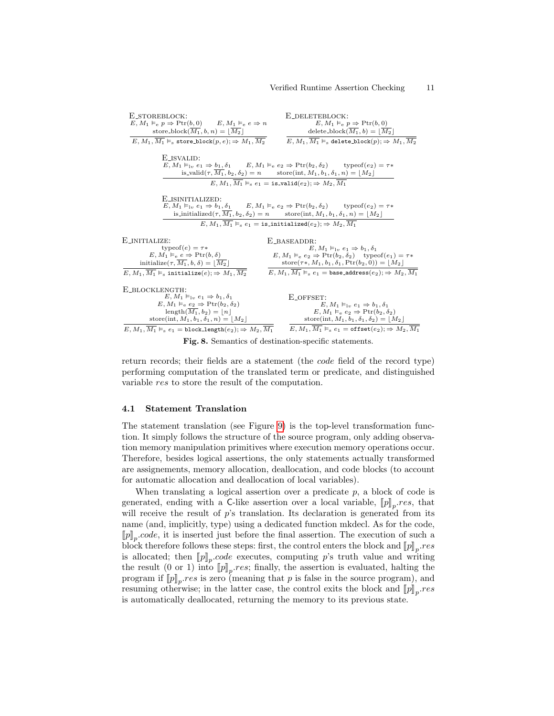E\_STOREBLOCK:  $E, M_1 \vDash_e p \Rightarrow \text{Ptr}(b, 0)$   $E, M_1 \vDash_e e \Rightarrow n$ store\_block $(\overline{M_1}, b, n) = \lfloor \overline{M_2} \rfloor$  $E, M_1, \overline{M_1} \vDash_{\mathbf{s}} \textsf{store\_block}(p, e); \Rightarrow M_1, \overline{M_2}$ E deleteblock:  $E, M_1 \vDash_e p \Rightarrow \text{Ptr}(b, 0)$ delete\_block $(\overline{M_1}, b) = \lfloor \overline{M_2} \rfloor$  $E, M_1, \overline{M_1} \models_s$  delete\_block $(p); \Rightarrow M_1, \overline{M_2}$ E isvalid:  $E, M_1 \vDash_{1v} e_1 \Rightarrow b_1, \delta_1$   $E, M_1 \vDash_{e} e_2 \Rightarrow \text{Ptr}(b_2, \delta_2)$  typeof( $e_2$ ) =  $\tau *$ is valid $(\tau, \overline{M_1}, b_2, \delta_2) = n$  store(int,  $M_1, b_1, \delta_1, n) = \lfloor M_2 \rfloor$  $E, M_1, \overline{M_1} \vDash_{\mathbf{s}} e_1 = \mathtt{is\_valid}(e_2); \Rightarrow M_2, \overline{M_1}$ E isinitialized:  $E, M_1 \vDash_{1v} e_1 \Rightarrow b_1, \delta_1 \qquad E, M_1 \vDash_{e} e_2 \Rightarrow \text{Ptr}(b_2, \delta_2) \qquad \text{typeof}(e_2) = \tau *$ is initialized $(\tau, M_1, b_2, \delta_2) = n$  store(int,  $M_1, b_1, \delta_1, n) = \lfloor M_2 \rfloor$  $E, M_1, \overline{M_1} \vDash_{\mathbb{s}} e_1 = \texttt{is}.\texttt{initialized}(e_2); \Rightarrow M_2, \overline{M_1}$ E initialize: typeof $(e) = \tau *$  $E, M_1 \vDash_e e \Rightarrow \text{Ptr}(b, \delta)$ initialize $(\tau, \overline{M_1}, b, \delta) = \lfloor \overline{M_2} \rfloor$  $E, M_1, \overline{M_1} \vDash_{\mathbb{s}}$  initialize $(e); \Rightarrow M_1, \overline{M_2}$ E\_BASEADDR:  $E, M_1 \vDash_{1v} e_1 \Rightarrow b_1, \delta_1$ E,  $M_1 \vDash_{e} e_2 \Rightarrow \text{Ptr}(\overline{b}_2, \overline{\delta}_2)$  typeof $(e_1) = \tau *$ <br>store $(\tau *, M_1, b_1, \delta_1, \text{Ptr}(b_2, 0)) = \lfloor M_2 \rfloor$  $\overline{E,M_1,\overline{M_1}}\vDash_{\text{\rm s}} \overline{e_1}=\text{\rm base\_address}(e_2); \Rightarrow M_2,\overline{M_1}$ E\_BLOCKLENGTH:  $E, M_1 \vDash_{1v} e_1 \Rightarrow b_1, \delta_1$ <br> $E, M_1 \vDash_{e} e_2 \Rightarrow \text{Ptr}(b_2, \delta_2)$  $\operatorname{length}(M_1, b_2) = \lfloor n \rfloor$ store(int,  $M_1, b_1, \delta_1, n$ ) =  $\lfloor M_2 \rfloor$  $E, M_1, \overline{M_1} \vDash_{\mathbf{s}} e_1 = \mathtt{block\_length}(e_2); \Rightarrow M_2, \overline{M_1}$ E\_OFFSET:  $E, M_1 \vDash_0 e_1 \Rightarrow b_1, \delta_1$ <br>  $E, M_1 \vDash_e e_2 \Rightarrow \text{Ptr}(b_2, \delta_2)$ <br>
store(int,  $M_1, b_1, \delta_1, \delta_2$ ) =  $\lfloor M_2 \rfloor$  $E, M_1, \overline{M_1} \vDash_{\mathbf{s}} e_1 = \textup{offset}(e_2); \Rightarrow M_2, \overline{M_1}$ Fig. 8. Semantics of destination-specific statements.

<span id="page-10-0"></span>return records; their fields are a statement (the code field of the record type) performing computation of the translated term or predicate, and distinguished variable res to store the result of the computation.

#### 4.1 Statement Translation

The statement translation (see Figure [9\)](#page-11-0) is the top-level transformation function. It simply follows the structure of the source program, only adding observation memory manipulation primitives where execution memory operations occur. Therefore, besides logical assertions, the only statements actually transformed are assignements, memory allocation, deallocation, and code blocks (to account for automatic allocation and deallocation of local variables).

When translating a logical assertion over a predicate  $p$ , a block of code is generated, ending with a C-like assertion over a local variable,  $[\![p]\!]_p$ , res, that will receive the result of me translation. Its deeleration is concreted from its will receive the result of  $p$ 's translation. Its declaration is generated from its name (and, implicitly, type) using a dedicated function mkdecl. As for the code,  $[\![p]\!]_p$  *code*, it is inserted just before the final assertion. The execution of such a<br>block therefore follows these stops: first, the control opters the block and  $[\![p]\!]_p$  asset block therefore follows these steps: first, the control enters the block and  $[\![p]\!]_p$  res is allocated; then  $[\![p]\!]_p$  *code* executes, computing p's truth value and writing the result  $(0 \text{ or } 1)$  into  $[\![p]\!]_p$  results the assortion is evaluated belting the the result (0 or 1) into  $[\![p]\!]_p$  res; finally, the assertion is evaluated, halting the program if  $[\![p]\!]_p$  resigns zero (meaning that n is false in the source program), and program if  $[\![p]\!]_p$  res is zero (meaning that p is false in the source program), and<br>resuming otherwise in the letter asso, the sourcel exits the block and  $[\![p]\!]_n$  asso resuming otherwise; in the latter case, the control exits the block and  $[\![p]\!]_p$  res is automatically deallocated, returning the memory to its previous state.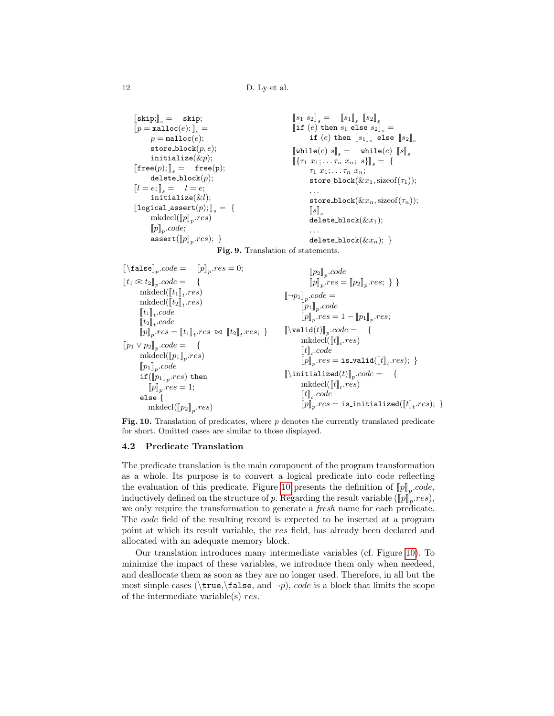```
[\![skip]skip;]\!]_s = skip;
\llbracket p = \texttt{malloc}(e); \rrbracket_s =p = \texttt{malloc}(e);store_block(p, e);
        initialize(\& p);[\![ \texttt{free}(p) ; ]\!]_s = \texttt{free}(p);delete\_block(p);[l = e; ]_s = l = e;initialize(\&li);
\llbracketlogical_assert(p); \rrbracket_s = \{\text{mkdecl}(\llbracket p \rrbracket_p,res)[\![p]\!]_pcolor{black}.code;\texttt{assert}(\llbracket p \rrbracket_p,res); \; \}\llbracket s_1 \ s_2 \rrbracket_s = \llbracket s_1 \rrbracket_s \ \llbracket s_2 \rrbracket_s\left[\!\left[\begin{smallmatrix}\mathbf{if}\end{smallmatrix}\right.\left(e\right)\right. then s_1 else s_2\right]_s =if (e) then [[s_1]]_s else [[s_2]]_s\llbracket \texttt{while}(e) \ s \rrbracket_s = \texttt{while}(e) \ \llbracket s \rrbracket_s[\![ {\{\tau_1 \ x_1}; \ldots {\tau_n \ x_n}; \ s} ]\!]_s = {\{}\tau_1 x_1; \ldots \tau_n x_n;store_block(\&x_1, sizeof(\tau_1));
                                                                                          . . .
                                                                                          store_block(\&x_n, sizeof(\tau_n));
                                                                                           \llbracket s \rrbracket.
                                                                                          delete_block(kx<sub>1</sub>);
                                                                                          . . .
                                                                                          delete_block(\& x_n);}
                                          Fig. 9. Translation of statements.
```

```
[\![\lambda]false]\!]_p.close = [\![p]\!]_p,res = 0;[t_1 \boxtimes t_2]_p \cdot code = \n\begin{cases} \n\text{mhd} \cdot \text{C} \cdot \text{C} \cdot \text{C} \cdot \text{C} \cdot \text{C} \cdot \text{C} \cdot \text{C} \cdot \text{C} \cdot \text{C} \cdot \text{C} \cdot \text{C} \cdot \text{C} \cdot \text{C} \cdot \text{C} \cdot \text{C} \cdot \text{C} \cdot \text{C} \cdot \text{C} \cdot \text{C} \cdot \text{C} \cdot \text{C} \cdot \text{C} \cdot \text{C} \cdot \text{C} \cdot \text{C} \cdot \text{C} \cdot \text{C}\text{mkdecl}(\llbracket t_1 \rrbracket_t \cdot res)\text{mkdecl}(\llbracket t_2 \rrbracket_t \text{.} res)\begin{bmatrix} \llbracket t_1 \rrbracket_t.code \end{bmatrix}\llbracket t_2 \rrbracket_t.code[\![p]\!]_p,res = [\![t_1]\!]_t,res \bowtie [\![t_2]\!]_t,res;[p_1 \vee p_2]_p \text{.} code = \{\text{mkdecl}(\llbracket p_1 \rrbracket_p,res)[\![p_1]\!]_pcolor{black}.code\inf(\llbracket p_1 \rrbracket_p,res) then
                       [\![p]\!]_p,res = 1;else {
                       \text{mkdecl}(\llbracket p_2 \rrbracket_p,res)\llbracket p_2 \rrbracket_p.\text{code}[\![p]\!]_p \mathsf{.} res = [\![p_2]\!]_p \mathsf{.} res; \; \} \;\llbracket \neg p_1 \rrbracket_p.\text{code} =[\![p_1]\!]_pcolor{black}.code[\![p]\!]_p \text{.} res = 1 - [\![p_1]\!]_p \text{.} res;[\Delta(t)]_p \cdot code = \{<br>maked ([\Box]_p, maxed)
                                                                                                                                                                    \text{mkdecl}(\llbracket t \rrbracket_t \text{.} res)\llbracket t \rrbracket_t.code[\![p]\!]_p \mathit{.} res = \texttt{is\_valid}(\llbracket t \rrbracket_t \mathit{.} res); \; \}J\initialized(t)Kp
.code = {
                                                                                                                                                                    \text{mkdecl}(\llbracket t \rrbracket_t \cdot res)\llbracket t \rrbracket_t.code[\![p]\!]_p \mathit{.} res = \texttt{is}\texttt{.initialized}(\llbracket t \rrbracket_t \mathit{.} res); \; \}
```
<span id="page-11-1"></span>Fig. 10. Translation of predicates, where p denotes the currently translated predicate for short. Omitted cases are similar to those displayed.

## 4.2 Predicate Translation

The predicate translation is the main component of the program transformation as a whole. Its purpose is to convert a logical predicate into code reflecting the evaluation of this predicate. Figure [10](#page-11-1) presents the definition of  $[\![p]\!]_p \text{.code},$ <br>inductively defined on the structure of a Becarding the result variable  $([\![p]\!]_p \text{.code})$ inductively defined on the structure of p. Regarding the result variable  $([\![p]\!]_p$  res), we only require the transformation to generate a *fresh* name for each predicate. The code field of the resulting record is expected to be inserted at a program point at which its result variable, the res field, has already been declared and allocated with an adequate memory block.

Our translation introduces many intermediate variables (cf. Figure [10\)](#page-11-1). To minimize the impact of these variables, we introduce them only when needeed, and deallocate them as soon as they are no longer used. Therefore, in all but the most simple cases ( $\tau$ ),  $\tau$ ), code is a block that limits the scope of the intermediate variable(s) res.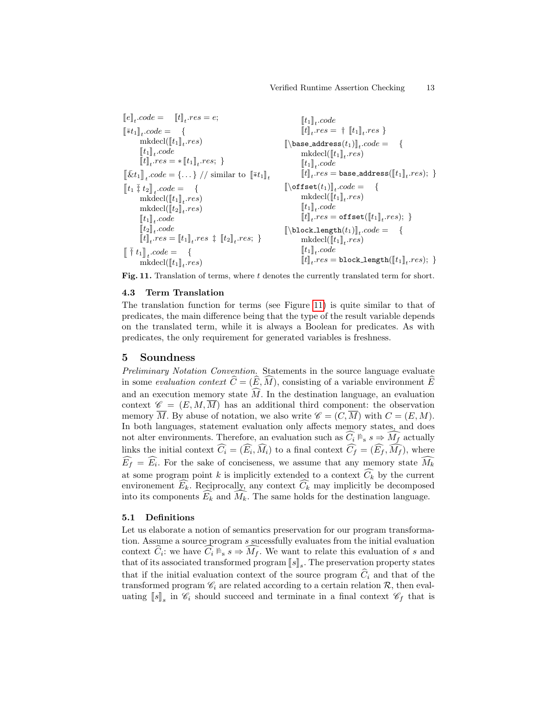JeKt .code <sup>=</sup> <sup>J</sup>tK<sup>t</sup> .res = e; <sup>J</sup>¯∗t<sup>1</sup>K<sup>t</sup> .code = { mkdecl(Jt<sup>1</sup>K<sup>t</sup> .res) <sup>J</sup>t<sup>1</sup>K<sup>t</sup> .code JtKt .res <sup>=</sup> <sup>∗</sup> <sup>J</sup>t<sup>1</sup>K<sup>t</sup> .res; } q &¯ t<sup>1</sup> y t .code <sup>=</sup> {. . . } // similar to <sup>J</sup>¯∗t<sup>1</sup>K<sup>t</sup> q t1 ¯‡ t<sup>2</sup> y t .code = { mkdecl(Jt<sup>1</sup>K<sup>t</sup> .res) mkdecl(Jt<sup>2</sup>K<sup>t</sup> .res) <sup>J</sup>t<sup>1</sup>K<sup>t</sup> .code <sup>J</sup>t<sup>2</sup>K<sup>t</sup> .code JtKt .res <sup>=</sup> <sup>J</sup>t<sup>1</sup>K<sup>t</sup> .res ‡ <sup>J</sup>t<sup>2</sup>K<sup>t</sup> .res; } q ¯† t<sup>1</sup> y t .code = { mkdecl(Jt<sup>1</sup>K<sup>t</sup> .res) <sup>J</sup>t<sup>1</sup>K<sup>t</sup> .code JtKt .res <sup>=</sup> † <sup>J</sup>t<sup>1</sup>K<sup>t</sup> .res } <sup>J</sup>\base address(t1)K<sup>t</sup> .code = { mkdecl(Jt<sup>1</sup>K<sup>t</sup> .res) <sup>J</sup>t<sup>1</sup>K<sup>t</sup> .code JtKt .res <sup>=</sup> base address(Jt<sup>1</sup>K<sup>t</sup> .res); } <sup>J</sup>\offset(t1)K<sup>t</sup> .code = { mkdecl(Jt<sup>1</sup>K<sup>t</sup> .res) <sup>J</sup>t<sup>1</sup>K<sup>t</sup> .code JtKt .res <sup>=</sup> offset(Jt<sup>1</sup>K<sup>t</sup> .res); } <sup>J</sup>\block length(t1)K<sup>t</sup> .code = { mkdecl(Jt<sup>1</sup>K<sup>t</sup> .res) <sup>J</sup>t<sup>1</sup>K<sup>t</sup> .code JtKt .res <sup>=</sup> block length(Jt<sup>1</sup>K<sup>t</sup> .res); }

<span id="page-12-1"></span>Fig. 11. Translation of terms, where t denotes the currently translated term for short.

#### 4.3 Term Translation

The translation function for terms (see Figure [11\)](#page-12-1) is quite similar to that of predicates, the main difference being that the type of the result variable depends on the translated term, while it is always a Boolean for predicates. As with predicates, the only requirement for generated variables is freshness.

#### <span id="page-12-0"></span>5 Soundness

Preliminary Notation Convention. Statements in the source language evaluate in some evaluation context  $\hat{C} = (\hat{E}, \hat{M})$ , consisting of a variable environment  $\hat{E}$ and an execution memory state  $\widehat{M}$ . In the destination language, an evaluation context  $\mathscr{C} = (E, M, \overline{M})$  has an additional third component: the observation memory M. By abuse of notation, we also write  $\mathscr{C} = (C, M)$  with  $C = (E, M)$ . In both languages, statement evaluation only affects memory states, and does not alter environments. Therefore, an evaluation such as  $C_i \vDash_{\rm s} s \Rightarrow M_f$  actually links the initial context  $C_i = (E_i, M_i)$  to a final context  $C_f = (E_f, M_f)$ , where  $E_f = E_i$ . For the sake of conciseness, we assume that any memory state  $M_k$ at some program point k is implicitly extended to a context  $\widehat{C}_k$  by the current environement  $E_k$ . Reciprocally, any context  $\widehat{C_k}$  may implicitly be decomposed into its components  $E_k$  and  $\widehat{M_k}$ . The same holds for the destination language.

## 5.1 Definitions

Let us elaborate a notion of semantics preservation for our program transformation. Assume a source program s sucessfully evaluates from the initial evaluation context  $\widehat{C}_i$ : we have  $\widehat{C}_i \vDash_{s} s \Rightarrow \widehat{M_f}$ . We want to relate this evaluation of s and that of its associated transformed program  $[s]_s$ . The preservation property states that if the initial evaluation context of the source program  $\hat{C}_i$  and that of the transformed program  $\mathscr{C}_i$  are related according to a certain relation  $\mathcal{R}$ , then evaluating  $\llbracket s \rrbracket_s$  in  $\mathcal{C}_i$  should succeed and terminate in a final context  $\mathcal{C}_f$  that is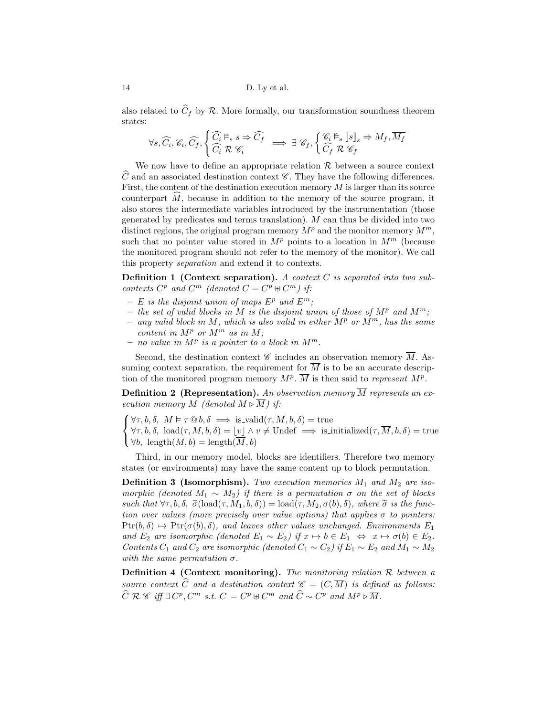also related to  $\widehat{C}_f$  by R. More formally, our transformation soundness theorem states:

$$
\forall s, \widehat{C_i}, \mathcal{C}_i, \widehat{C_f}, \left\{\begin{matrix}\widehat{C_i} \vDash_{\mathrm{s}} s \Rightarrow \widehat{C_f} \\ \widehat{C_i} \mathrel{\mathcal{R}} \mathcal{C}_i\end{matrix}\right. \implies \exists \mathscr{C}_f, \left\{\begin{matrix}\mathscr{C}_i \vDash_{\mathrm{s}} [\![s]\!]_s \Rightarrow M_f, \overline{M_f} \\ \widehat{C_f} \mathrel{\mathcal{R}} \mathcal{C}_f\end{matrix}\right.
$$

We now have to define an appropriate relation  $\mathcal R$  between a source context  $\hat{C}$  and an associated destination context  $\mathscr{C}$ . They have the following differences. First, the content of the destination execution memory  $M$  is larger than its source counterpart  $\hat{M}$ , because in addition to the memory of the source program, it also stores the intermediate variables introduced by the instrumentation (those generated by predicates and terms translation). M can thus be divided into two distinct regions, the original program memory  $M^p$  and the monitor memory  $M^m$ , such that no pointer value stored in  $M^p$  points to a location in  $M^m$  (because the monitored program should not refer to the memory of the monitor). We call this property separation and extend it to contexts.

**Definition 1 (Context separation).** A context  $C$  is separated into two subcontexts  $C^p$  and  $C^m$  (denoted  $C = C^p \oplus C^m$ ) if:

- E is the disjoint union of maps  $E^p$  and  $E^m$ ;
- the set of valid blocks in M is the disjoint union of those of  $M^p$  and  $M^m$ ;
- any valid block in M, which is also valid in either  $M^p$  or  $M^m$ , has the same content in  $M^p$  or  $M^m$  as in  $M$ ;
- $-$  no value in  $M^p$  is a pointer to a block in  $M^m$ .

Second, the destination context  $\mathscr C$  includes an observation memory  $\overline{M}$ . Assuming context separation, the requirement for  $\overline{M}$  is to be an accurate description of the monitored program memory  $M^p$ .  $\overline{M}$  is then said to *represent*  $M^p$ .

**Definition 2** (Representation). An observation memory  $\overline{M}$  represents an execution memory M (denoted  $M \triangleright \overline{M}$ ) if:

 $\sqrt{ }$ J  $\mathcal{L}$  $\forall \tau, b, \delta, \; M \models \tau \, \mathbb{\omega} \, b, \delta \implies \text{is-valid}(\tau, \overline{M}, b, \delta) = \text{true}$  $\forall \tau, b, \delta, \text{ load}(\tau, M, b, \delta) = |v| \wedge v \neq \text{Under} \implies \text{is initialized}(\tau, \overline{M}, b, \delta) = \text{true}$  $\forall b, \; \text{length}(M, b) = \text{length}(\overline{M}, b)$ 

Third, in our memory model, blocks are identifiers. Therefore two memory states (or environments) may have the same content up to block permutation.

**Definition 3 (Isomorphism).** Two execution memories  $M_1$  and  $M_2$  are isomorphic (denoted  $M_1 \sim M_2$ ) if there is a permutation  $\sigma$  on the set of blocks such that  $\forall \tau, b, \delta, \ \tilde{\sigma}(\text{load}(\tau, M_1, b, \delta)) = \text{load}(\tau, M_2, \sigma(b), \delta),$  where  $\tilde{\sigma}$  is the function over values (more precisely over value options) that applies  $\sigma$  to pointers:  $\text{Ptr}(b, \delta) \mapsto \text{Ptr}(\sigma(b), \delta)$ , and leaves other values unchanged. Environments E<sub>1</sub> and  $E_2$  are isomorphic (denoted  $E_1 \sim E_2$ ) if  $x \mapsto b \in E_1 \Leftrightarrow x \mapsto \sigma(b) \in E_2$ . Contents  $C_1$  and  $C_2$  are isomorphic (denoted  $C_1 \sim C_2$ ) if  $E_1 \sim E_2$  and  $M_1 \sim M_2$ with the same permutation  $\sigma$ .

**Definition 4 (Context monitoring).** The monitoring relation  $\mathcal{R}$  between a source context  $\widehat{C}$  and a destination context  $\mathscr{C} = (C, \overline{M})$  is defined as follows:  $\widehat{C} \mathcal{R} \mathscr{C}$  iff  $\exists C^p, C^m$  s.t.  $C = C^p \oplus C^m$  and  $\widehat{C} \sim C^p$  and  $M^p \triangleright \overline{M}$ .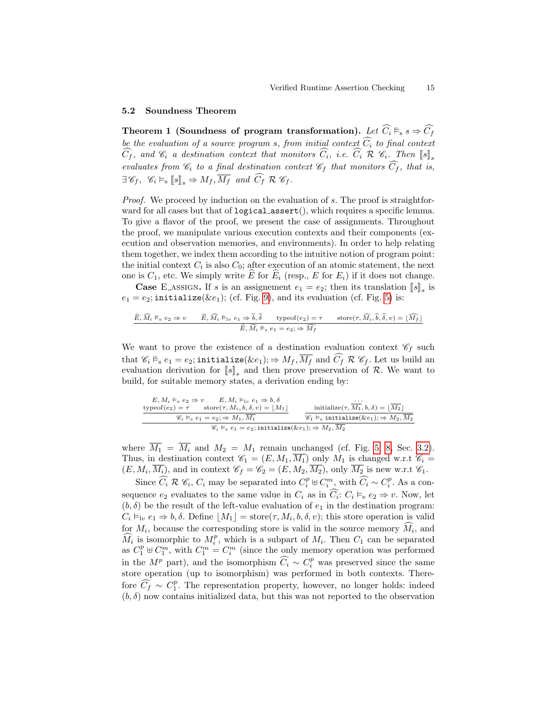#### 5.2 Soundness Theorem

Theorem 1 (Soundness of program transformation). Let  $\widehat{C}_i \vDash_{\mathbf{s}} s \Rightarrow \widehat{C}_f$ be the evaluation of a source program s, from initial context  $\widehat{C}_i$  to final context  $\widehat{C}_f$ , and  $\mathscr{C}_i$  a destination context that monitors  $\widehat{C}_i$ , i.e.  $\widehat{C}_i \mathcal{R} \mathscr{C}_i$ . Then  $\llbracket s \rrbracket_s$ evaluates from  $\mathscr{C}_i$  to a final destination context  $\mathscr{C}_f$  that monitors  $\widehat{C}_f$ , that is,  $\exists \mathscr{C}_f, \ \mathscr{C}_i \models_{\mathbf{s}} [s] \Rightarrow M_f, \overline{M_f} \text{ and } \widehat{C}_f \mathcal{R} \mathscr{C}_f.$ 

Proof. We proceed by induction on the evaluation of s. The proof is straightforward for all cases but that of logical assert(), which requires a specific lemma. To give a flavor of the proof, we present the case of assignments. Throughout the proof, we manipulate various execution contexts and their components (execution and observation memories, and environments). In order to help relating them together, we index them according to the intuitive notion of program point: the initial context  $C_i$  is also  $C_0$ ; after execution of an atomic statement, the next one is  $C_1$ , etc. We simply write  $\widehat{E}$  for  $\widehat{E}_i$  (resp., E for  $E_i$ ) if it does not change.

**Case** E\_ASSIGN. If s is an assignement  $e_1 = e_2$ ; then its translation  $[\![s]\!]_s$  is  $e_1 = e_2$ ; initialize(&e<sub>1</sub>); (cf. Fig. [9\)](#page-11-0), and its evaluation (cf. Fig. [5\)](#page-8-0) is:

$$
\frac{\widehat{E}, \widehat{M_i} \vDash_e e_2 \Rightarrow v \qquad \widehat{E}, \widehat{M_i} \vDash_{\text{1v}} e_1 \Rightarrow \widehat{b}, \widehat{\delta} \qquad \text{typeof}(e_2) = \tau \qquad \text{store}(\tau, \widehat{M_i}, \widehat{b}, \widehat{\delta}, v) = \lfloor \widehat{M_f} \rfloor}{\widehat{E}, \widehat{M_i} \vDash_s e_1 = e_2; \Rightarrow \widehat{M_f}}
$$

We want to prove the existence of a destination evaluation context  $\mathscr{C}_f$  such that  $\mathscr{C}_i \vDash_{\mathbf{s}} e_1 = e_2$ ; initialize $(\& e_1); \Rightarrow M_f, \overline{M_f}$  and  $\widehat{C}_f \mathcal{R} \mathcal{C}_f$ . Let us build an evaluation derivation for  $\llbracket s \rrbracket_s$  and then prove preservation of R. We want to build for suitable moment states a derivation ording by: build, for suitable memory states, a derivation ending by:

$$
\begin{array}{c} E,\, M_i \vDash_{\mathrm{e}} e_2 \Rightarrow v \qquad E,\, M_i \vDash_{\mathrm{1v}} e_1 \Rightarrow b,\, \delta \\ \underbrace{\mathrm{typeof}(e_2) = \tau \qquad \mathrm{store}(\tau,\, M_i, b, \delta, v) = \lfloor M_1 \rfloor}_{\mathscr{C}_i \vDash_{\mathrm{S}} e_1 = \; e_2; \Rightarrow \; M_1,\, \overline{M_1}} \qquad \qquad \overbrace{\qquad \qquad \qquad } \qquad \qquad } \quad \overbrace{\qquad \qquad } \quad \overbrace{\qquad \qquad } \quad \overbrace{\qquad \qquad } \quad \overbrace{\qquad \qquad } \quad \overbrace{\qquad \qquad } \quad \overbrace{\qquad \qquad } \quad \overbrace{\qquad \qquad } \quad \overbrace{\qquad \qquad } \quad \overbrace{\qquad \qquad } \quad \overbrace{\qquad \qquad } \quad \overbrace{\qquad \qquad } \quad \overbrace{\qquad \qquad } \quad \overbrace{\qquad \qquad } \quad \overbrace{\qquad \qquad } \quad \overbrace{\qquad \qquad } \quad \overbrace{\qquad \qquad } \quad \overbrace{\qquad \qquad } \quad \overbrace{\qquad \qquad } \quad \overbrace{\qquad \qquad } \quad \overbrace{\qquad \qquad } \quad \overbrace{\qquad \qquad } \quad \overbrace{\qquad \qquad } \quad \overbrace{\qquad \qquad } \quad \overbrace{\qquad \qquad } \quad \overbrace{\qquad \qquad } \quad \overbrace{\qquad \qquad } \quad \overbrace{\qquad \qquad } \quad \overbrace{\qquad \qquad } \quad \overbrace{\qquad \qquad } \quad \overbrace{\qquad \qquad } \quad \overbrace{\qquad \qquad } \quad \overbrace{\qquad \qquad } \quad \overbrace{\qquad \qquad } \quad \overbrace{\qquad \qquad } \quad \overbrace{\qquad \qquad } \quad \overbrace{\qquad \qquad } \quad \overbrace{\qquad \qquad } \quad \overbrace{\qquad \qquad } \quad \overbrace{\qquad \qquad } \quad \overbrace{\qquad \qquad } \quad \overbrace{\qquad \qquad } \quad \overbrace{\qquad \qquad } \quad \overbrace{\qquad \qquad } \quad \overbrace{\qquad \qquad } \quad \overbrace{\qquad \qquad } \quad \overbrace{\qquad \qquad } \quad \overbrace{\qquad \qquad } \quad \overbrace{\qquad \qquad } \quad \overbrace{\qquad \q
$$

where  $\overline{M_1} = \overline{M_i}$  and  $M_2 = M_1$  remain unchanged (cf. Fig. [5,](#page-8-0) [8,](#page-10-0) Sec. [3.2\)](#page-7-1). Thus, in destination context  $\mathscr{C}_1 = (E, M_1, \overline{M_1})$  only  $M_1$  is changed w.r.t  $\mathscr{C}_i =$  $(E, M_i, M_i)$ , and in context  $\mathscr{C}_f = \mathscr{C}_2 = (E, M_2, M_2)$ , only  $M_2$  is new w.r.t  $\mathscr{C}_1$ .

Since  $\widehat{C}_i \mathcal{R} \mathcal{C}_i$ ,  $C_i$  may be separated into  $C_i^p \uplus C_i^m$ , with  $\widehat{C}_i \sim C_i^p$ . As a consequence  $e_2$  evaluates to the same value in  $C_i$  as in  $\widehat{C}_i$ :  $C_i \vDash_e e_2 \Rightarrow v$ . Now, let  $(b, \delta)$  be the result of the left-value evaluation of  $e_1$  in the destination program:  $C_i \vDash_{\text{lv}} e_1 \Rightarrow b, \delta.$  Define  $\lfloor M_1 \rfloor = \text{store}(\tau, M_i, b, \delta, v);$  this store operation is valid for  $M_i$ , because the corresponding store is valid in the source memory  $M_i$ , and  $\widehat{M}_i$  is isomorphic to  $M_i^p$ , which is a subpart of  $M_i$ . Then  $C_1$  can be separated as  $C_1^p \oplus C_1^m$ , with  $C_1^m = C_i^m$  (since the only memory operation was performed in the  $M^p$  part), and the isomorphism  $\widehat{C}_i \sim C_i^p$  was preserved since the same store operation (up to isomorphism) was performed in both contexts. Therefore  $\widehat{C}_f \sim C_1^p$ . The representation property, however, no longer holds: indeed  $(b, \delta)$  now contains initialized data, but this was not reported to the observation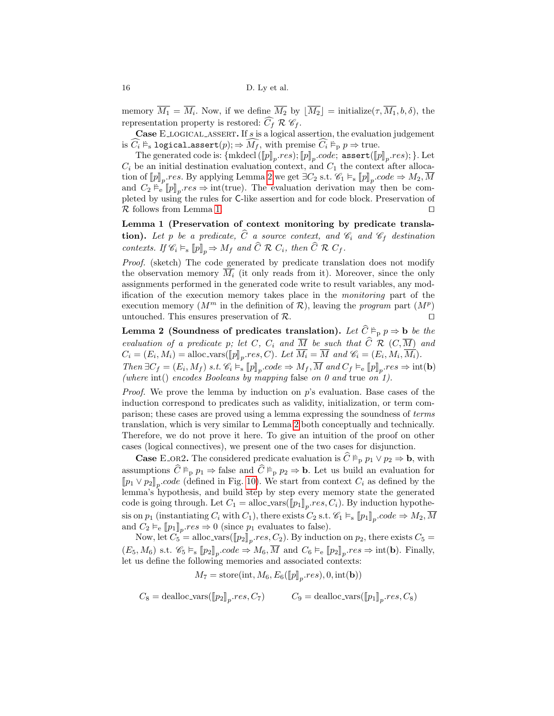memory  $M_1 = M_i$ . Now, if we define  $M_2$  by  $\lfloor M_2 \rfloor = \text{initialize}(\tau, M_1, b, \delta)$ , the representation property is restored:  $\widehat{C}_f \mathcal{R} \mathcal{C}_f$ .

Case E\_LOGICAL\_ASSERT. If  $s$  is a logical assertion, the evaluation judgement is  $C_i \vDash_{\mathbf{s}} \text{logical\_assert}(p)$ ;  $\Rightarrow M_f$ , with premise  $C_i \vDash_{\mathbf{p}} p \Rightarrow$  true.

The generated code is:  $\{\text{mkdecl}([\![p]\!]_p,res); [\![p]\!]_pcolor, code; assert([\![p]\!]_p,res); \}$ . Let  $C_i$  be an initial destination evaluation context, and  $C_1$  the context after allocation of  $[\![p]\!]_p$  res. By applying Lemma [2](#page-15-0) we get  $\exists C_2$  s.t.  $\mathscr{C}_1 \models \llbracket p \rrbracket_p \cdot code \Rightarrow M_2, \overline{M}$ <br>and  $C_1 \models \llbracket m \rrbracket$  reserve int(true). The evoluation derivation may then be some and  $C_2 \vDash_{e} [p]_p$ ,  $res \Rightarrow \text{int(true)}$ . The evaluation derivation may then be completed by using the rules for C-like assertion and for code block. Preservation of  $\mathcal R$  follows from Lemma [1.](#page-15-1)

<span id="page-15-1"></span>Lemma 1 (Preservation of context monitoring by predicate translation). Let p be a predicate,  $\widehat{C}$  a source context, and  $\mathscr{C}_i$  and  $\mathscr{C}_f$  destination contexts. If  $\mathscr{C}_i \vDash_{\mathbf{s}} [p]_p \Rightarrow M_f$  and  $\widehat{C} \mathrel{\mathcal{R}} C_i$ , then  $\widehat{C} \mathrel{\mathcal{R}} C_f$ .

Proof. (sketch) The code generated by predicate translation does not modify the observation memory  $\overline{M_i}$  (it only reads from it). Moreover, since the only assignments performed in the generated code write to result variables, any modification of the execution memory takes place in the monitoring part of the execution memory  $(M^m$  in the definition of  $\mathcal{R}$ ), leaving the *program* part  $(M^p)$ untouched. This ensures preservation of  $\mathcal{R}$ .

<span id="page-15-0"></span>Lemma 2 (Soundness of predicates translation). Let  $\widehat{C} \vDash_{p} p \Rightarrow$  b be the evaluation of a predicate p; let C,  $C_i$  and  $\overline{M}$  be such that  $\widehat{C}$  R  $(C, \overline{M})$  and  $C_i = (E_i, M_i) = \text{alloc}\text{-vars}(\llbracket p \rrbracket_p \cdot res, C)$ . Let  $M_i = M$  and  $\mathscr{C}_i = (E_i, M_i, M_i)$ . Then  $\exists C_f = (E_i, M_f)$  s.t.  $\mathcal{C}_i \vDash_{\mathbb{S}} [\![p]\!]_p \cdot code \Rightarrow M_f, \overline{M}$  and  $C_f \vDash_{\mathbb{S}} [\![p]\!]_p \cdot res \Rightarrow \text{int}(\mathbf{b})$ <br>(where  $\text{int}(\mathbf{b})$  grades Booleans by mapping folgo on 0 and true on 1) (where int() encodes Booleans by mapping false on 0 and true on 1).

*Proof.* We prove the lemma by induction on  $p$ 's evaluation. Base cases of the induction correspond to predicates such as validity, initialization, or term comparison; these cases are proved using a lemma expressing the soundness of terms translation, which is very similar to Lemma [2](#page-15-0) both conceptually and technically. Therefore, we do not prove it here. To give an intuition of the proof on other cases (logical connectives), we present one of the two cases for disjunction.

**Case** E\_OR2. The considered predicate evaluation is  $\hat{C} \vDash_{p} p_1 \vee p_2 \Rightarrow \mathbf{b}$ , with assumptions  $\widehat{C} \vDash_{p} p_{1} \Rightarrow$  false and  $\widehat{C} \vDash_{p} p_{2} \Rightarrow$  **b**. Let us build an evaluation for  $[\![p_1 \vee p_2]\!]_p$  code (defined in Fig. [10\)](#page-11-1). We start from context  $C_i$  as defined by the large large procedure  $\mathbb{R}^n$ lemma's hypothesis, and build step by step every memory state the generated code is going through. Let  $C_1 = \text{alloc}\text{-}\text{vars}(\llbracket p_1 \rrbracket_p, res, C_i)$ . By induction hypothesis on  $p_1$  (instantiating  $C_i$  with  $C_1$ ), there exists  $C_2$  s.t.  $\mathscr{C}_1 \vDash_{\mathbf{s}} [p_1]_p$ .code  $\Rightarrow M_2$ ,  $\overline{M}$ and  $C_2 \vDash_{\mathbf{e}} [p_1]_p$ ,  $res \Rightarrow 0$  (since  $p_1$  evaluates to false).<br>Now let  $C = \text{also very}([p_1]_p$  ree  $C_1$ ). By induction

Now, let  $C_5 = \text{alloc}\text{-vars}(\llbracket p_2 \rrbracket_p$ ,  $res, C_2)$ . By induction on  $p_2$ , there exists  $C_5 =$  $(E_5, M_6)$  s.t.  $\mathcal{C}_5 \models_{\mathbf{s}} [p_2]_p$  code  $\Rightarrow M_6, \overline{M}$  and  $C_6 \models_{\mathbf{e}} [p_2]_p$  res  $\Rightarrow$  int(**b**). Finally, let us define the following memories and associated contexts:

 $M_7 = \text{store}(\text{int}, M_6, E_6(\llbracket p \rrbracket_p,res), 0, \text{int}(\mathbf{b}))$ 

$$
C_8 = \text{dealloc}\text{-}\text{vars}(\llbracket p_2 \rrbracket_p \text{.} res, C_7) \qquad C_9 = \text{dealloc}\text{-}\text{vars}(\llbracket p_1 \rrbracket_p \text{.} res, C_8)
$$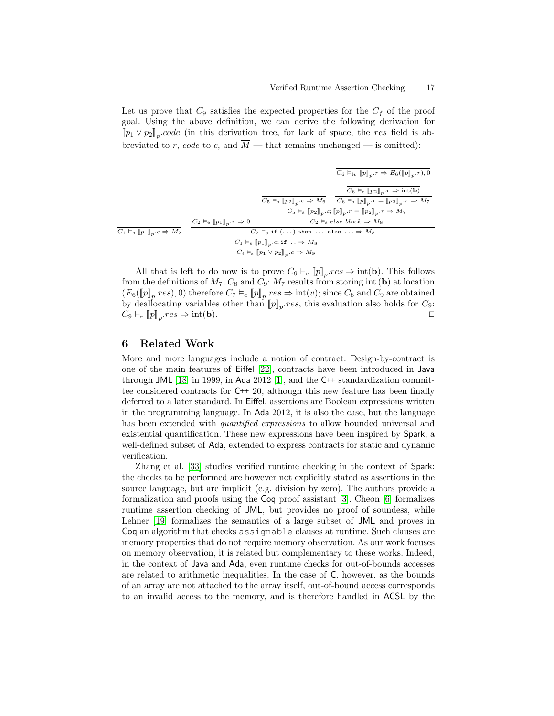Let us prove that  $C_9$  satisfies the expected properties for the  $C_f$  of the proof goal. Using the above definition, we can derive the following derivation for  $[\![p_1 \vee p_2]\!]_p$  *code* (in this derivation tree, for lack of space, the res field is abbreviated to r, code to c, and  $\overline{M}$  — that remains unchanged — is omitted):

|                                                                    |                                          |                                                                             | $C_6 \vDash_{1v} [p]_n r \Rightarrow E_6([p]_n.r), 0$                                                                 |  |  |
|--------------------------------------------------------------------|------------------------------------------|-----------------------------------------------------------------------------|-----------------------------------------------------------------------------------------------------------------------|--|--|
|                                                                    |                                          |                                                                             | $C_6 \vDash_{e} [p_2]_n r \Rightarrow \text{int}(\mathbf{b})$                                                         |  |  |
|                                                                    |                                          |                                                                             | $C_5 \vDash_{\mathbb{S}} [p_2]_n c \Rightarrow M_6 \quad C_6 \vDash_{\mathbb{S}} [p]_n r = [p_2]_n r \Rightarrow M_7$ |  |  |
|                                                                    |                                          |                                                                             | $C_5 \vDash_{\mathbb{S}} [p_2]_n.c; [p]_n.r = [p_2]_n.r \Rightarrow M_7$                                              |  |  |
|                                                                    | $C_2 \vDash_{e} [p_1]_n r \Rightarrow 0$ |                                                                             | $C_2 \vDash_{\rm s} else\_block \Rightarrow M_8$                                                                      |  |  |
| $C_1 \vDash_{\rm s} [p_1]_n.c \Rightarrow M_2$                     |                                          | $C_2 \vDash_{\rm s}$ if $(\dots)$ then $\dots$ else $\dots \Rightarrow M_8$ |                                                                                                                       |  |  |
| $C_1 \vDash_{\rm s} [p_1]_n.c; \text{ if } \ldots \Rightarrow M_8$ |                                          |                                                                             |                                                                                                                       |  |  |
| $C_i \vDash_{\rm s} [p_1 \vee p_2]_n.c \Rightarrow M_9$            |                                          |                                                                             |                                                                                                                       |  |  |

All that is left to do now is to prove  $C_9 \vDash_{\mathbf{e}} [\![p]\!]_p \cdot res \Rightarrow \text{int}(\mathbf{b})$ . This follows in the definitions of  $M$ ,  $C_5$  and  $C_6 \cdot M$ , results from stering int (b) at leastion from the definitions of  $M_7$ ,  $C_8$  and  $C_9$ :  $M_7$  results from storing int (b) at location  $(E_6(\llbracket p \rrbracket_p, res), 0)$  therefore  $C_7 \vDash_{e} [\llbracket p \rrbracket_p,res \Rightarrow \text{int}(v);$  since  $C_8$  and  $C_9$  are obtained<br>by deallecting variables other than  $\llbracket \text{rel} \rrbracket$  are this evaluation also holds for  $C_1$ . by deallocating variables other than  $[\![p]\!]_p$  res, this evaluation also holds for  $C_9$ :  $C_9 \vDash_{\mathbf{e}} [p]_p \text{res} \Rightarrow \text{int}(\mathbf{b}).$ 

# <span id="page-16-0"></span>6 Related Work

More and more languages include a notion of contract. Design-by-contract is one of the main features of Eiffel [\[22\]](#page-19-10), contracts have been introduced in Java through JML [\[18\]](#page-19-11) in 1999, in Ada 2012 [\[1\]](#page-18-9), and the  $C++$  standardization committee considered contracts for C++ 20, although this new feature has been finally deferred to a later standard. In Eiffel, assertions are Boolean expressions written in the programming language. In Ada 2012, it is also the case, but the language has been extended with *quantified expressions* to allow bounded universal and existential quantification. These new expressions have been inspired by Spark, a well-defined subset of Ada, extended to express contracts for static and dynamic verification.

Zhang et al. [\[33\]](#page-20-1) studies verified runtime checking in the context of Spark: the checks to be performed are however not explicitly stated as assertions in the source language, but are implicit (e.g. division by zero). The authors provide a formalization and proofs using the Coq proof assistant [\[3\]](#page-18-10). Cheon [\[6\]](#page-18-11) formalizes runtime assertion checking of JML, but provides no proof of soundess, while Lehner [\[19\]](#page-19-12) formalizes the semantics of a large subset of JML and proves in Coq an algorithm that checks assignable clauses at runtime. Such clauses are memory properties that do not require memory observation. As our work focuses on memory observation, it is related but complementary to these works. Indeed, in the context of Java and Ada, even runtime checks for out-of-bounds accesses are related to arithmetic inequalities. In the case of C, however, as the bounds of an array are not attached to the array itself, out-of-bound access corresponds to an invalid access to the memory, and is therefore handled in ACSL by the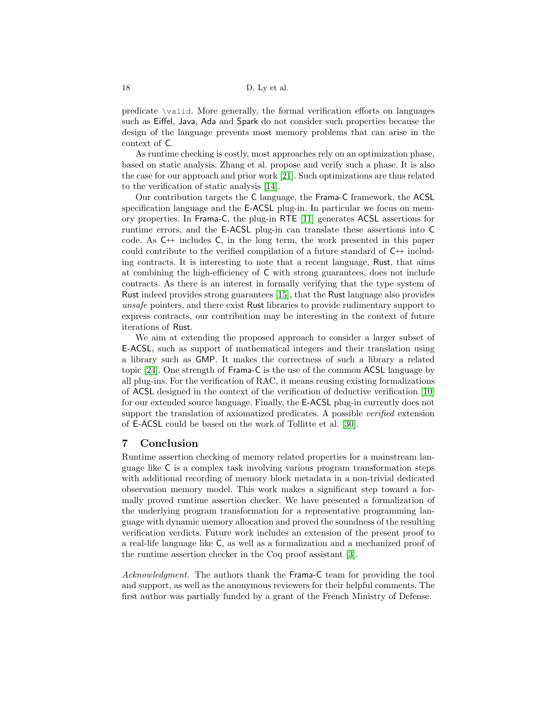predicate \valid. More generally, the formal verification efforts on languages such as Eiffel, Java, Ada and Spark do not consider such properties because the design of the language prevents most memory problems that can arise in the context of C.

As runtime checking is costly, most approaches rely on an optimization phase, based on static analysis. Zhang et al. propose and verify such a phase. It is also the case for our approach and prior work [\[21\]](#page-19-8). Such optimizations are thus related to the verification of static analysis [\[14\]](#page-18-12).

Our contribution targets the C language, the Frama-C framework, the ACSL specification language and the E-ACSL plug-in. In particular we focus on memory properties. In Frama-C, the plug-in RTE [\[11\]](#page-18-13) generates ACSL assertions for runtime errors, and the E-ACSL plug-in can translate these assertions into C code. As C++ includes C, in the long term, the work presented in this paper could contribute to the verified compilation of a future standard of  $C+$  including contracts. It is interesting to note that a recent language, Rust, that aims at combining the high-efficiency of C with strong guarantees, does not include contracts. As there is an interest in formally verifying that the type system of Rust indeed provides strong guarantees [\[15\]](#page-18-14), that the Rust language also provides unsafe pointers, and there exist Rust libraries to provide rudimentary support to express contracts, our contribution may be interesting in the context of future iterations of Rust.

We aim at extending the proposed approach to consider a larger subset of E-ACSL, such as support of mathematical integers and their translation using a library such as GMP. It makes the correctness of such a library a related topic [\[24\]](#page-19-13). One strength of Frama-C is the use of the common ACSL language by all plug-ins. For the verification of RAC, it means reusing existing formalizations of ACSL designed in the context of the verification of deductive verification [\[10\]](#page-18-15) for our extended source language. Finally, the E-ACSL plug-in currently does not support the translation of axiomatized predicates. A possible *verified* extension of E-ACSL could be based on the work of Tollitte et al. [\[30\]](#page-19-14).

## <span id="page-17-0"></span>7 Conclusion

Runtime assertion checking of memory related properties for a mainstream language like C is a complex task involving various program transformation steps with additional recording of memory block metadata in a non-trivial dedicated observation memory model. This work makes a significant step toward a formally proved runtime assertion checker. We have presented a formalization of the underlying program transformation for a representative programming language with dynamic memory allocation and proved the soundness of the resulting verification verdicts. Future work includes an extension of the present proof to a real-life language like C, as well as a formalization and a mechanized proof of the runtime assertion checker in the Coq proof assistant [\[3\]](#page-18-10).

Acknowledgment. The authors thank the Frama-C team for providing the tool and support, as well as the anonymous reviewers for their helpful comments. The first author was partially funded by a grant of the French Ministry of Defense.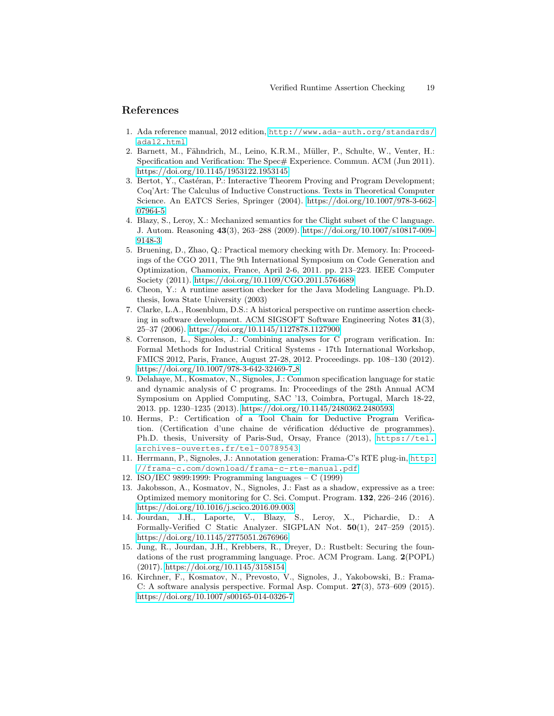# References

- <span id="page-18-9"></span>1. Ada reference manual, 2012 edition, [http://www.ada-auth.org/standards/](http://www.ada-auth.org/standards/ada12.html) [ada12.html](http://www.ada-auth.org/standards/ada12.html)
- <span id="page-18-5"></span>2. Barnett, M., Fähndrich, M., Leino, K.R.M., Müller, P., Schulte, W., Venter, H.: Specification and Verification: The Spec# Experience. Commun. ACM (Jun 2011). <https://doi.org/10.1145/1953122.1953145>
- <span id="page-18-10"></span>3. Bertot, Y., Castéran, P.: Interactive Theorem Proving and Program Development; Coq'Art: The Calculus of Inductive Constructions. Texts in Theoretical Computer Science. An EATCS Series, Springer (2004). [https://doi.org/10.1007/978-3-662-](https://doi.org/10.1007/978-3-662-07964-5) [07964-5](https://doi.org/10.1007/978-3-662-07964-5)
- <span id="page-18-7"></span>4. Blazy, S., Leroy, X.: Mechanized semantics for the Clight subset of the C language. J. Autom. Reasoning 43(3), 263–288 (2009). [https://doi.org/10.1007/s10817-009-](https://doi.org/10.1007/s10817-009-9148-3) [9148-3](https://doi.org/10.1007/s10817-009-9148-3)
- <span id="page-18-2"></span>5. Bruening, D., Zhao, Q.: Practical memory checking with Dr. Memory. In: Proceedings of the CGO 2011, The 9th International Symposium on Code Generation and Optimization, Chamonix, France, April 2-6, 2011. pp. 213–223. IEEE Computer Society (2011).<https://doi.org/10.1109/CGO.2011.5764689>
- <span id="page-18-11"></span>6. Cheon, Y.: A runtime assertion checker for the Java Modeling Language. Ph.D. thesis, Iowa State University (2003)
- <span id="page-18-0"></span>7. Clarke, L.A., Rosenblum, D.S.: A historical perspective on runtime assertion checking in software development. ACM SIGSOFT Software Engineering Notes 31(3), 25–37 (2006).<https://doi.org/10.1145/1127878.1127900>
- <span id="page-18-8"></span>8. Correnson, L., Signoles, J.: Combining analyses for C program verification. In: Formal Methods for Industrial Critical Systems - 17th International Workshop, FMICS 2012, Paris, France, August 27-28, 2012. Proceedings. pp. 108–130 (2012). [https://doi.org/10.1007/978-3-642-32469-7](https://doi.org/10.1007/978-3-642-32469-7_8) 8
- <span id="page-18-6"></span>9. Delahaye, M., Kosmatov, N., Signoles, J.: Common specification language for static and dynamic analysis of C programs. In: Proceedings of the 28th Annual ACM Symposium on Applied Computing, SAC '13, Coimbra, Portugal, March 18-22, 2013. pp. 1230–1235 (2013).<https://doi.org/10.1145/2480362.2480593>
- <span id="page-18-15"></span>10. Herms, P.: Certification of a Tool Chain for Deductive Program Verification. (Certification d'une chaine de vérification déductive de programmes). Ph.D. thesis, University of Paris-Sud, Orsay, France (2013), [https://tel.](https://tel.archives-ouvertes.fr/tel-00789543) [archives-ouvertes.fr/tel-00789543](https://tel.archives-ouvertes.fr/tel-00789543)
- <span id="page-18-13"></span>11. Herrmann, P., Signoles, J.: Annotation generation: Frama-C's RTE plug-in, [http:](http://frama-c.com/download/frama-c-rte-manual.pdf) [//frama-c.com/download/frama-c-rte-manual.pdf](http://frama-c.com/download/frama-c-rte-manual.pdf)
- <span id="page-18-1"></span>12. ISO/IEC 9899:1999: Programming languages – C (1999)
- <span id="page-18-4"></span>13. Jakobsson, A., Kosmatov, N., Signoles, J.: Fast as a shadow, expressive as a tree: Optimized memory monitoring for C. Sci. Comput. Program. 132, 226–246 (2016). <https://doi.org/10.1016/j.scico.2016.09.003>
- <span id="page-18-12"></span>14. Jourdan, J.H., Laporte, V., Blazy, S., Leroy, X., Pichardie, D.: A Formally-Verified C Static Analyzer. SIGPLAN Not. 50(1), 247–259 (2015). <https://doi.org/10.1145/2775051.2676966>
- <span id="page-18-14"></span>15. Jung, R., Jourdan, J.H., Krebbers, R., Dreyer, D.: Rustbelt: Securing the foundations of the rust programming language. Proc. ACM Program. Lang. 2(POPL) (2017).<https://doi.org/10.1145/3158154>
- <span id="page-18-3"></span>16. Kirchner, F., Kosmatov, N., Prevosto, V., Signoles, J., Yakobowski, B.: Frama-C: A software analysis perspective. Formal Asp. Comput. 27(3), 573–609 (2015). <https://doi.org/10.1007/s00165-014-0326-7>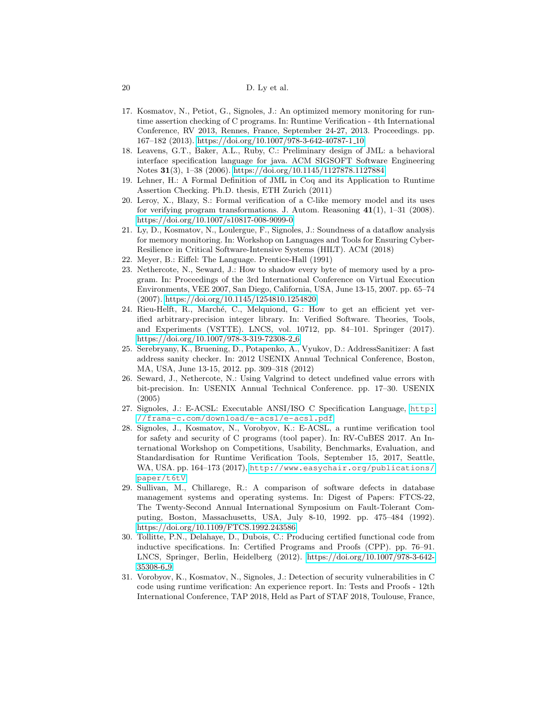#### 20 D. Ly et al.

- <span id="page-19-6"></span>17. Kosmatov, N., Petiot, G., Signoles, J.: An optimized memory monitoring for runtime assertion checking of C programs. In: Runtime Verification - 4th International Conference, RV 2013, Rennes, France, September 24-27, 2013. Proceedings. pp. 167–182 (2013). [https://doi.org/10.1007/978-3-642-40787-1](https://doi.org/10.1007/978-3-642-40787-1_10) 10
- <span id="page-19-11"></span>18. Leavens, G.T., Baker, A.L., Ruby, C.: Preliminary design of JML: a behavioral interface specification language for java. ACM SIGSOFT Software Engineering Notes 31(3), 1–38 (2006).<https://doi.org/10.1145/1127878.1127884>
- <span id="page-19-12"></span>19. Lehner, H.: A Formal Definition of JML in Coq and its Application to Runtime Assertion Checking. Ph.D. thesis, ETH Zurich (2011)
- <span id="page-19-9"></span>20. Leroy, X., Blazy, S.: Formal verification of a C-like memory model and its uses for verifying program transformations. J. Autom. Reasoning  $41(1)$ , 1–31 (2008). <https://doi.org/10.1007/s10817-008-9099-0>
- <span id="page-19-8"></span>21. Ly, D., Kosmatov, N., Loulergue, F., Signoles, J.: Soundness of a dataflow analysis for memory monitoring. In: Workshop on Languages and Tools for Ensuring Cyber-Resilience in Critical Software-Intensive Systems (HILT). ACM (2018)
- <span id="page-19-10"></span>22. Meyer, B.: Eiffel: The Language. Prentice-Hall (1991)
- <span id="page-19-2"></span>23. Nethercote, N., Seward, J.: How to shadow every byte of memory used by a program. In: Proceedings of the 3rd International Conference on Virtual Execution Environments, VEE 2007, San Diego, California, USA, June 13-15, 2007. pp. 65–74 (2007).<https://doi.org/10.1145/1254810.1254820>
- <span id="page-19-13"></span>24. Rieu-Helft, R., Marché, C., Melquiond, G.: How to get an efficient yet verified arbitrary-precision integer library. In: Verified Software. Theories, Tools, and Experiments (VSTTE). LNCS, vol. 10712, pp. 84–101. Springer (2017). [https://doi.org/10.1007/978-3-319-72308-2](https://doi.org/10.1007/978-3-319-72308-2_6) 6
- <span id="page-19-3"></span>25. Serebryany, K., Bruening, D., Potapenko, A., Vyukov, D.: AddressSanitizer: A fast address sanity checker. In: 2012 USENIX Annual Technical Conference, Boston, MA, USA, June 13-15, 2012. pp. 309–318 (2012)
- <span id="page-19-1"></span>26. Seward, J., Nethercote, N.: Using Valgrind to detect undefined value errors with bit-precision. In: USENIX Annual Technical Conference. pp. 17–30. USENIX (2005)
- <span id="page-19-7"></span>27. Signoles, J.: E-ACSL: Executable ANSI/ISO C Specification Language, [http:](http://frama-c.com/download/e-acsl/e-acsl.pdf) [//frama-c.com/download/e-acsl/e-acsl.pdf](http://frama-c.com/download/e-acsl/e-acsl.pdf)
- <span id="page-19-5"></span>28. Signoles, J., Kosmatov, N., Vorobyov, K.: E-ACSL, a runtime verification tool for safety and security of C programs (tool paper). In: RV-CuBES 2017. An International Workshop on Competitions, Usability, Benchmarks, Evaluation, and Standardisation for Runtime Verification Tools, September 15, 2017, Seattle, WA, USA. pp. 164-173 (2017), [http://www.easychair.org/publications/](http://www.easychair.org/publications/paper/t6tV) [paper/t6tV](http://www.easychair.org/publications/paper/t6tV)
- <span id="page-19-0"></span>29. Sullivan, M., Chillarege, R.: A comparison of software defects in database management systems and operating systems. In: Digest of Papers: FTCS-22, The Twenty-Second Annual International Symposium on Fault-Tolerant Computing, Boston, Massachusetts, USA, July 8-10, 1992. pp. 475–484 (1992). <https://doi.org/10.1109/FTCS.1992.243586>
- <span id="page-19-14"></span>30. Tollitte, P.N., Delahaye, D., Dubois, C.: Producing certified functional code from inductive specifications. In: Certified Programs and Proofs (CPP). pp. 76–91. LNCS, Springer, Berlin, Heidelberg (2012). [https://doi.org/10.1007/978-3-642-](https://doi.org/10.1007/978-3-642-35308-6_9) [35308-6](https://doi.org/10.1007/978-3-642-35308-6_9) 9
- <span id="page-19-4"></span>31. Vorobyov, K., Kosmatov, N., Signoles, J.: Detection of security vulnerabilities in C code using runtime verification: An experience report. In: Tests and Proofs - 12th International Conference, TAP 2018, Held as Part of STAF 2018, Toulouse, France,